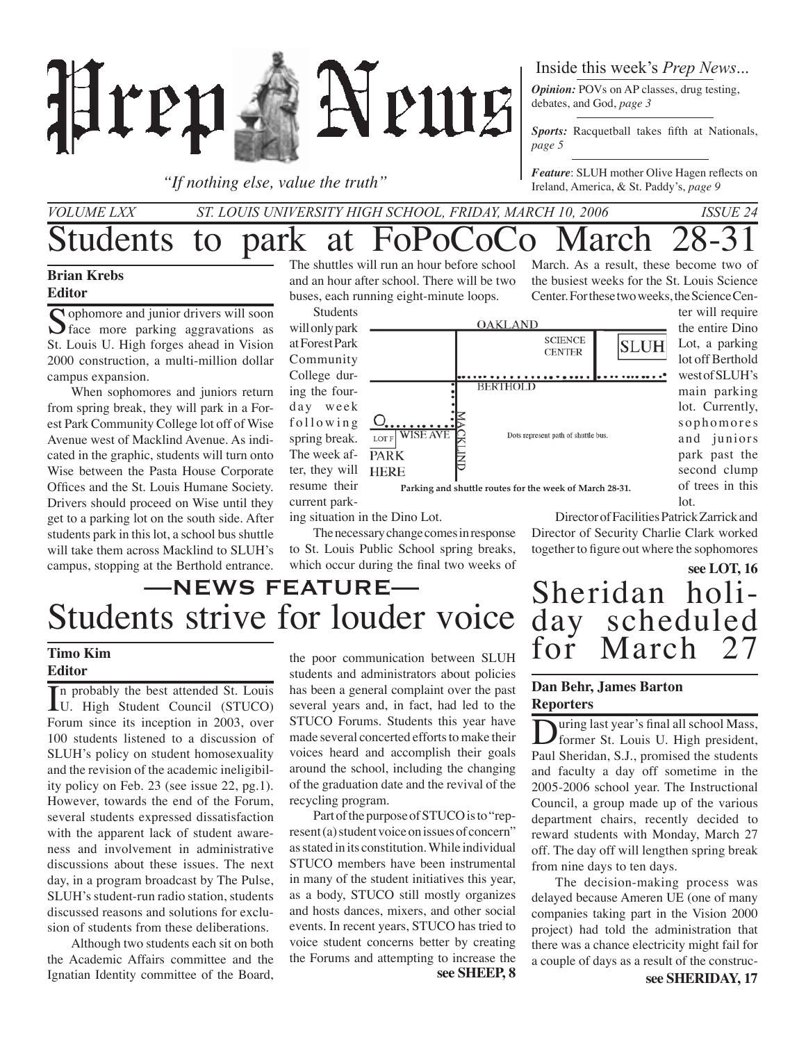

*"If nothing else, value the truth"*

### Inside this week's *Prep News*...

*Opinion:* POVs on AP classes, drug testing, debates, and God, *page 3*

*Sports:* Racquetball takes fifth at Nationals, *page 5*

*Feature*: SLUH mother Olive Hagen reflects on Ireland, America, & St. Paddy's, *page 9*

the busiest weeks for the St. Louis Science Center. For these two weeks, the Science Cen-

### Students to park at FoPoCoCo March *Volume LXX St. Louis University High School, Friday, march 10, 2006 Issue 24* March. As a result, these become two of

### **Brian Krebs Editor**

Sophomore and junior drivers will soon  $\bigcup$  face more parking aggravations as St. Louis U. High forges ahead in Vision 2000 construction, a multi-million dollar campus expansion.

When sophomores and juniors return from spring break, they will park in a Forest Park Community College lot off of Wise Avenue west of Macklind Avenue. As indicated in the graphic, students will turn onto Wise between the Pasta House Corporate Offices and the St. Louis Humane Society. Drivers should proceed on Wise until they get to a parking lot on the south side. After students park in this lot, a school bus shuttle will take them across Macklind to SLUH's campus, stopping at the Berthold entrance.

The shuttles will run an hour before school and an hour after school. There will be two buses, each running eight-minute loops.



ing situation in the Dino Lot.

The necessary change comes in response to St. Louis Public School spring breaks, which occur during the final two weeks of

### Director of Facilities Patrick Zarrick and Director of Security Charlie Clark worked together to figure out where the sophomores

Sheridan holi-<br>day scheduled<br>for March 27

March

**see LOT, 16**

### Students strive for louder voice —News Feature—

### **Timo Kim Editor**

In probably the best attended St. Louis<br>
U. High Student Council (STUCO)<br>
Forum since its incention in 2002, curr U. High Student Council (STUCO) Forum since its inception in 2003, over 100 students listened to a discussion of SLUH's policy on student homosexuality and the revision of the academic ineligibility policy on Feb. 23 (see issue 22, pg.1). However, towards the end of the Forum, several students expressed dissatisfaction with the apparent lack of student awareness and involvement in administrative discussions about these issues. The next day, in a program broadcast by The Pulse, SLUH's student-run radio station, students discussed reasons and solutions for exclusion of students from these deliberations.

Although two students each sit on both the Academic Affairs committee and the Ignatian Identity committee of the Board,

the poor communication between SLUH students and administrators about policies has been a general complaint over the past several years and, in fact, had led to the STUCO Forums. Students this year have made several concerted efforts to make their voices heard and accomplish their goals around the school, including the changing of the graduation date and the revival of the recycling program.

Part of the purpose of STUCO is to "represent (a) student voice on issues of concern" as stated in its constitution. While individual STUCO members have been instrumental in many of the student initiatives this year, as a body, STUCO still mostly organizes and hosts dances, mixers, and other social events. In recent years, STUCO has tried to voice student concerns better by creating the Forums and attempting to increase the **see SHEEP, 8**

### **Dan Behr, James Barton Reporters**

During last year's final all school Mass,<br>former St. Louis U. High president, Paul Sheridan, S.J., promised the students and faculty a day off sometime in the 2005-2006 school year. The Instructional Council, a group made up of the various department chairs, recently decided to reward students with Monday, March 27 off. The day off will lengthen spring break from nine days to ten days.

The decision-making process was delayed because Ameren UE (one of many companies taking part in the Vision 2000 project) had told the administration that there was a chance electricity might fail for a couple of days as a result of the construc-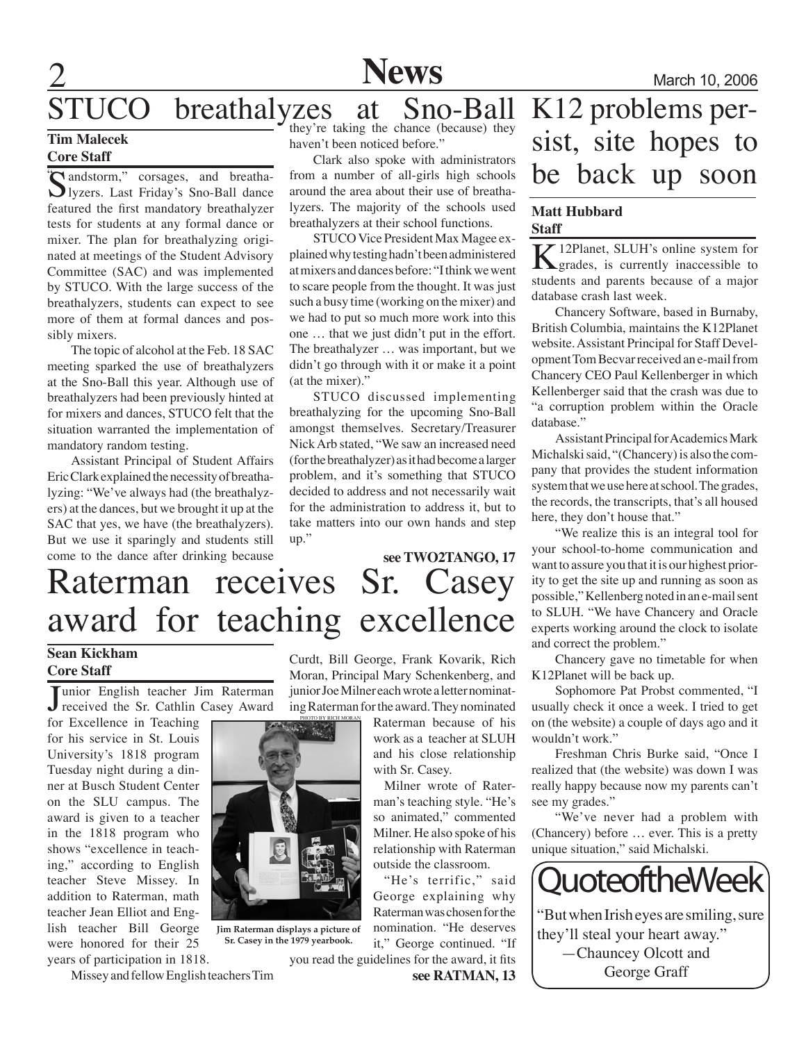

### STUCO breathalyzes at Sno-Ball

### **Tim Malecek Core Staff**

### Sandstorm," corsages, and breatha-<br>Iyzers. Last Friday's Sno-Ball dance featured the first mandatory breathalyzer tests for students at any formal dance or mixer. The plan for breathalyzing originated at meetings of the Student Advisory Committee (SAC) and was implemented by STUCO. With the large success of the breathalyzers, students can expect to see more of them at formal dances and possibly mixers. "<a>
"</andstorm," corsages, and breatha-

The topic of alcohol at the Feb. 18 SAC meeting sparked the use of breathalyzers at the Sno-Ball this year. Although use of breathalyzers had been previously hinted at for mixers and dances, STUCO felt that the situation warranted the implementation of mandatory random testing.

Assistant Principal of Student Affairs Eric Clark explained the necessity of breathalyzing: "We've always had (the breathalyzers) at the dances, but we brought it up at the SAC that yes, we have (the breathalyzers). But we use it sparingly and students still come to the dance after drinking because they're taking the chance (because) they haven't been noticed before."

Clark also spoke with administrators from a number of all-girls high schools around the area about their use of breathalyzers. The majority of the schools used breathalyzers at their school functions.

STUCO Vice President Max Magee explained why testing hadn't been administered at mixers and dances before: "I think we went to scare people from the thought. It was just such a busy time (working on the mixer) and we had to put so much more work into this one … that we just didn't put in the effort. The breathalyzer … was important, but we didn't go through with it or make it a point (at the mixer)."

STUCO discussed implementing breathalyzing for the upcoming Sno-Ball amongst themselves. Secretary/Treasurer Nick Arb stated, "We saw an increased need (for the breathalyzer) as it had become a larger problem, and it's something that STUCO decided to address and not necessarily wait for the administration to address it, but to take matters into our own hands and step up."

### Raterman receives Sr. Casey award for teaching excellence **see TWO2TANGO, 17**

### **Sean Kickham Core Staff**

Junior English teacher Jim Raterman<br>received the Sr. Cathlin Casey Award unior English teacher Jim Raterman

for Excellence in Teaching for his service in St. Louis University's 1818 program Tuesday night during a dinner at Busch Student Center on the SLU campus. The award is given to a teacher in the 1818 program who shows "excellence in teaching," according to English teacher Steve Missey. In addition to Raterman, math teacher Jean Elliot and English teacher Bill George were honored for their 25 years of participation in 1818.

Missey and fellow English teachers Tim

Curdt, Bill George, Frank Kovarik, Rich Moran, Principal Mary Schenkenberg, and junior Joe Milner each wrote a letter nominating Raterman for the award. They nominated

> Raterman because of his work as a teacher at SLUH and his close relationship with Sr. Casey.

> Milner wrote of Raterman's teaching style. "He's so animated," commented Milner. He also spoke of his relationship with Raterman outside the classroom.

"He's terrific," said George explaining why Raterman was chosen for the nomination. "He deserves it," George continued. "If you read the guidelines for the award, it fits

**see RATMAN, 13**

### K12 problems persist, site hopes to be back up soon

### **Matt Hubbard Staff**

 $K<sub>grades</sub>$ , SLUH's online system for grades, is currently inaccessible to gradents and parents because of a major students and parents because of a major database crash last week.

Chancery Software, based in Burnaby, British Columbia, maintains the K12Planet website. Assistant Principal for Staff Development Tom Becvar received an e-mail from Chancery CEO Paul Kellenberger in which Kellenberger said that the crash was due to "a corruption problem within the Oracle database."

Assistant Principal for Academics Mark Michalski said, "(Chancery) is also the company that provides the student information system that we use here at school. The grades, the records, the transcripts, that's all housed here, they don't house that."

"We realize this is an integral tool for your school-to-home communication and want to assure you that it is our highest priority to get the site up and running as soon as possible," Kellenberg noted in an e-mail sent to SLUH. "We have Chancery and Oracle experts working around the clock to isolate and correct the problem."

Chancery gave no timetable for when K12Planet will be back up.

Sophomore Pat Probst commented, "I usually check it once a week. I tried to get on (the website) a couple of days ago and it wouldn't work."

Freshman Chris Burke said, "Once I realized that (the website) was down I was really happy because now my parents can't see my grades."

"We've never had a problem with (Chancery) before … ever. This is a pretty unique situation," said Michalski.



"But when Irish eyes are smiling, sure they'll steal your heart away." —Chauncey Olcott and George Graff



**Sr. Casey in the 1979 yearbook.**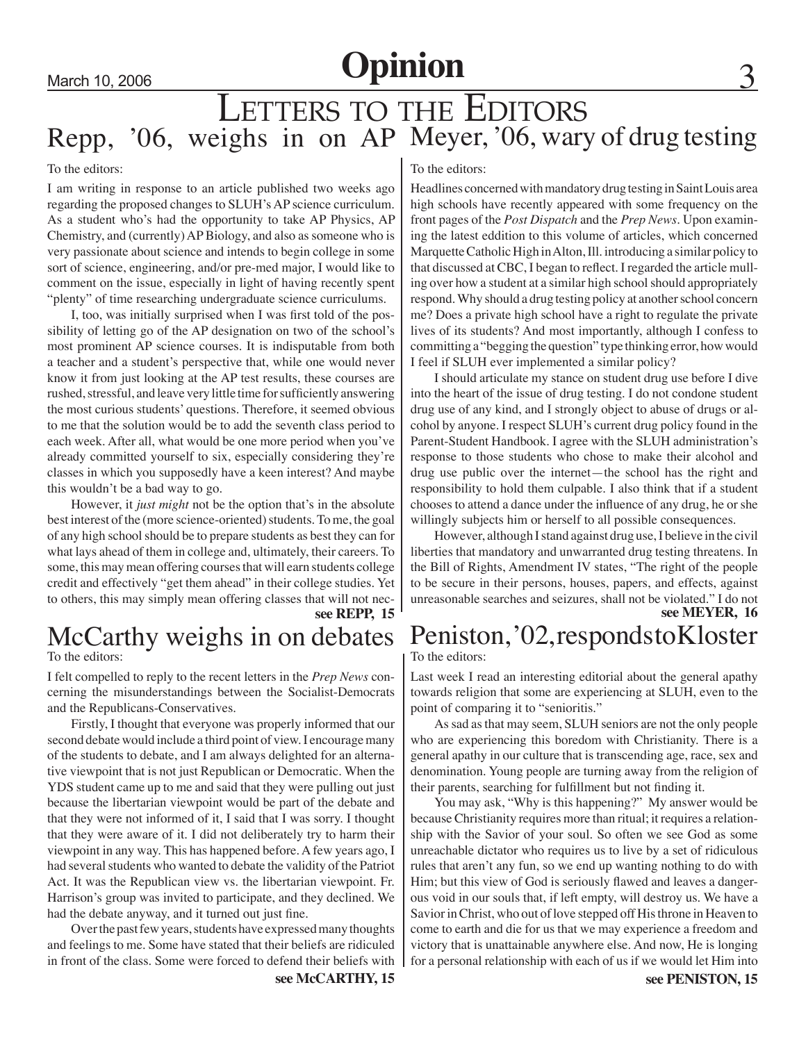## March 10, 2006 **Opinion**

### LETTERS TO THE EDITORS Repp, '06, weighs in on AP Meyer, '06, wary of drug testing

### To the editors:

I am writing in response to an article published two weeks ago regarding the proposed changes to SLUH's AP science curriculum. As a student who's had the opportunity to take AP Physics, AP Chemistry, and (currently) AP Biology, and also as someone who is very passionate about science and intends to begin college in some sort of science, engineering, and/or pre-med major, I would like to comment on the issue, especially in light of having recently spent "plenty" of time researching undergraduate science curriculums.

 I, too, was initially surprised when I was first told of the possibility of letting go of the AP designation on two of the school's most prominent AP science courses. It is indisputable from both a teacher and a student's perspective that, while one would never know it from just looking at the AP test results, these courses are rushed, stressful, and leave very little time for sufficiently answering the most curious students' questions. Therefore, it seemed obvious to me that the solution would be to add the seventh class period to each week. After all, what would be one more period when you've already committed yourself to six, especially considering they're classes in which you supposedly have a keen interest? And maybe this wouldn't be a bad way to go.

However, it *just might* not be the option that's in the absolute best interest of the (more science-oriented) students. To me, the goal of any high school should be to prepare students as best they can for what lays ahead of them in college and, ultimately, their careers. To some, this may mean offering courses that will earn students college credit and effectively "get them ahead" in their college studies. Yet to others, this may simply mean offering classes that will not nec-

**see REPP, 15**

**see McCARTHY, 15**

### McCarthy weighs in on debates

To the editors:

I felt compelled to reply to the recent letters in the *Prep News* concerning the misunderstandings between the Socialist-Democrats and the Republicans-Conservatives.

Firstly, I thought that everyone was properly informed that our second debate would include a third point of view. I encourage many of the students to debate, and I am always delighted for an alternative viewpoint that is not just Republican or Democratic. When the YDS student came up to me and said that they were pulling out just because the libertarian viewpoint would be part of the debate and that they were not informed of it, I said that I was sorry. I thought that they were aware of it. I did not deliberately try to harm their viewpoint in any way. This has happened before. A few years ago, I had several students who wanted to debate the validity of the Patriot Act. It was the Republican view vs. the libertarian viewpoint. Fr. Harrison's group was invited to participate, and they declined. We had the debate anyway, and it turned out just fine.

Over the past few years, students have expressed many thoughts and feelings to me. Some have stated that their beliefs are ridiculed in front of the class. Some were forced to defend their beliefs with

### To the editors:

Headlines concerned with mandatory drug testing in Saint Louis area high schools have recently appeared with some frequency on the front pages of the *Post Dispatch* and the *Prep News*. Upon examining the latest eddition to this volume of articles, which concerned Marquette Catholic High in Alton, Ill. introducing a similar policy to that discussed at CBC, I began to reflect. I regarded the article mulling over how a student at a similar high school should appropriately respond. Why should a drug testing policy at another school concern me? Does a private high school have a right to regulate the private lives of its students? And most importantly, although I confess to committing a "begging the question" type thinking error, how would I feel if SLUH ever implemented a similar policy?

I should articulate my stance on student drug use before I dive into the heart of the issue of drug testing. I do not condone student drug use of any kind, and I strongly object to abuse of drugs or alcohol by anyone. I respect SLUH's current drug policy found in the Parent-Student Handbook. I agree with the SLUH administration's response to those students who chose to make their alcohol and drug use public over the internet—the school has the right and responsibility to hold them culpable. I also think that if a student chooses to attend a dance under the influence of any drug, he or she willingly subjects him or herself to all possible consequences.

However, although I stand against drug use, I believe in the civil liberties that mandatory and unwarranted drug testing threatens. In the Bill of Rights, Amendment IV states, "The right of the people to be secure in their persons, houses, papers, and effects, against unreasonable searches and seizures, shall not be violated." I do not **see MEYER, 16**

### Peniston, '02, responds to Kloster

To the editors:

Last week I read an interesting editorial about the general apathy towards religion that some are experiencing at SLUH, even to the point of comparing it to "senioritis."

As sad as that may seem, SLUH seniors are not the only people who are experiencing this boredom with Christianity. There is a general apathy in our culture that is transcending age, race, sex and denomination. Young people are turning away from the religion of their parents, searching for fulfillment but not finding it.

You may ask, "Why is this happening?" My answer would be because Christianity requires more than ritual; it requires a relationship with the Savior of your soul. So often we see God as some unreachable dictator who requires us to live by a set of ridiculous rules that aren't any fun, so we end up wanting nothing to do with Him; but this view of God is seriously flawed and leaves a dangerous void in our souls that, if left empty, will destroy us. We have a Savior in Christ, who out of love stepped off His throne in Heaven to come to earth and die for us that we may experience a freedom and victory that is unattainable anywhere else. And now, He is longing for a personal relationship with each of us if we would let Him into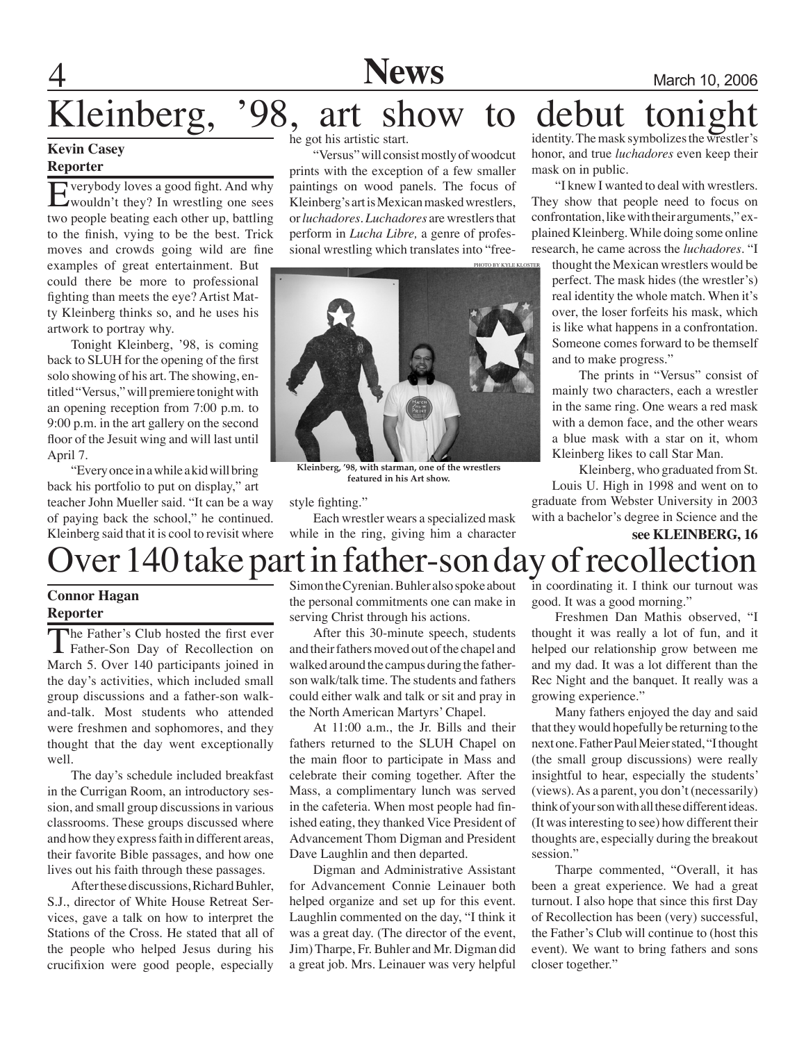## **A** Mews Mews March 10, 2006 Kleinberg, '98, art show to debut

### **Kevin Casey**

### **Reporter**

Everybody loves a good fight. And why<br>
wouldn't they? In wrestling one sees<br>
two google besting osch other up bettling two people beating each other up, battling to the finish, vying to be the best. Trick moves and crowds going wild are fine

examples of great entertainment. But could there be more to professional fighting than meets the eye? Artist Matty Kleinberg thinks so, and he uses his artwork to portray why.

Tonight Kleinberg, '98, is coming back to SLUH for the opening of the first solo showing of his art. The showing, entitled "Versus," will premiere tonight with an opening reception from 7:00 p.m. to 9:00 p.m. in the art gallery on the second floor of the Jesuit wing and will last until April 7.

"Every once in a while a kid will bring back his portfolio to put on display," art teacher John Mueller said. "It can be a way of paying back the school," he continued. Kleinberg said that it is cool to revisit where he got his artistic start.

"Versus" will consist mostly of woodcut prints with the exception of a few smaller paintings on wood panels. The focus of Kleinberg's art is Mexican masked wrestlers, or *luchadores. Luchadores* are wrestlers that perform in *Lucha Libre,* a genre of professional wrestling which translates into "free-



**Kleinberg, '98, with starman, one of the wrestlers featured in his Art show.**

#### style fighting."

Each wrestler wears a specialized mask while in the ring, giving him a character identity. The mask symbolizes the wrestler's honor, and true *luchadores* even keep their mask on in public.

"I knew I wanted to deal with wrestlers. They show that people need to focus on confrontation, like with their arguments," explained Kleinberg. While doing some online research, he came across the *luchadores*. "I

thought the Mexican wrestlers would be perfect. The mask hides (the wrestler's) real identity the whole match. When it's over, the loser forfeits his mask, which is like what happens in a confrontation. Someone comes forward to be themself and to make progress."

 The prints in "Versus" consist of mainly two characters, each a wrestler in the same ring. One wears a red mask with a demon face, and the other wears a blue mask with a star on it, whom Kleinberg likes to call Star Man.

 Kleinberg, who graduated from St. Louis U. High in 1998 and went on to graduate from Webster University in 2003 with a bachelor's degree in Science and the

**see KLEINBERG, 16**

## ver 140 take part in father-son day of recollectio

### **Connor Hagan Reporter**

The Father's Club hosted the first ever<br>Father-Son Day of Recollection on<br>Marsh 5. Over 140 pertisipants issued in March 5. Over 140 participants joined in the day's activities, which included small group discussions and a father-son walkand-talk. Most students who attended were freshmen and sophomores, and they thought that the day went exceptionally well.

The day's schedule included breakfast in the Currigan Room, an introductory session, and small group discussions in various classrooms. These groups discussed where and how they express faith in different areas, their favorite Bible passages, and how one lives out his faith through these passages.

After these discussions, Richard Buhler, S.J., director of White House Retreat Services, gave a talk on how to interpret the Stations of the Cross. He stated that all of the people who helped Jesus during his crucifixion were good people, especially

Simon the Cyrenian. Buhler also spoke about the personal commitments one can make in serving Christ through his actions.

After this 30-minute speech, students and their fathers moved out of the chapel and walked around the campus during the fatherson walk/talk time. The students and fathers could either walk and talk or sit and pray in the North American Martyrs' Chapel.

At 11:00 a.m., the Jr. Bills and their fathers returned to the SLUH Chapel on the main floor to participate in Mass and celebrate their coming together. After the Mass, a complimentary lunch was served in the cafeteria. When most people had finished eating, they thanked Vice President of Advancement Thom Digman and President Dave Laughlin and then departed.

Digman and Administrative Assistant for Advancement Connie Leinauer both helped organize and set up for this event. Laughlin commented on the day, "I think it was a great day. (The director of the event, Jim) Tharpe, Fr. Buhler and Mr. Digman did a great job. Mrs. Leinauer was very helpful

in coordinating it. I think our turnout was good. It was a good morning."

Freshmen Dan Mathis observed, "I thought it was really a lot of fun, and it helped our relationship grow between me and my dad. It was a lot different than the Rec Night and the banquet. It really was a growing experience."

Many fathers enjoyed the day and said that they would hopefully be returning to the next one. Father Paul Meier stated, "I thought (the small group discussions) were really insightful to hear, especially the students' (views). As a parent, you don't (necessarily) think of your son with all these different ideas. (It was interesting to see) how different their thoughts are, especially during the breakout session."

Tharpe commented, "Overall, it has been a great experience. We had a great turnout. I also hope that since this first Day of Recollection has been (very) successful, the Father's Club will continue to (host this event). We want to bring fathers and sons closer together."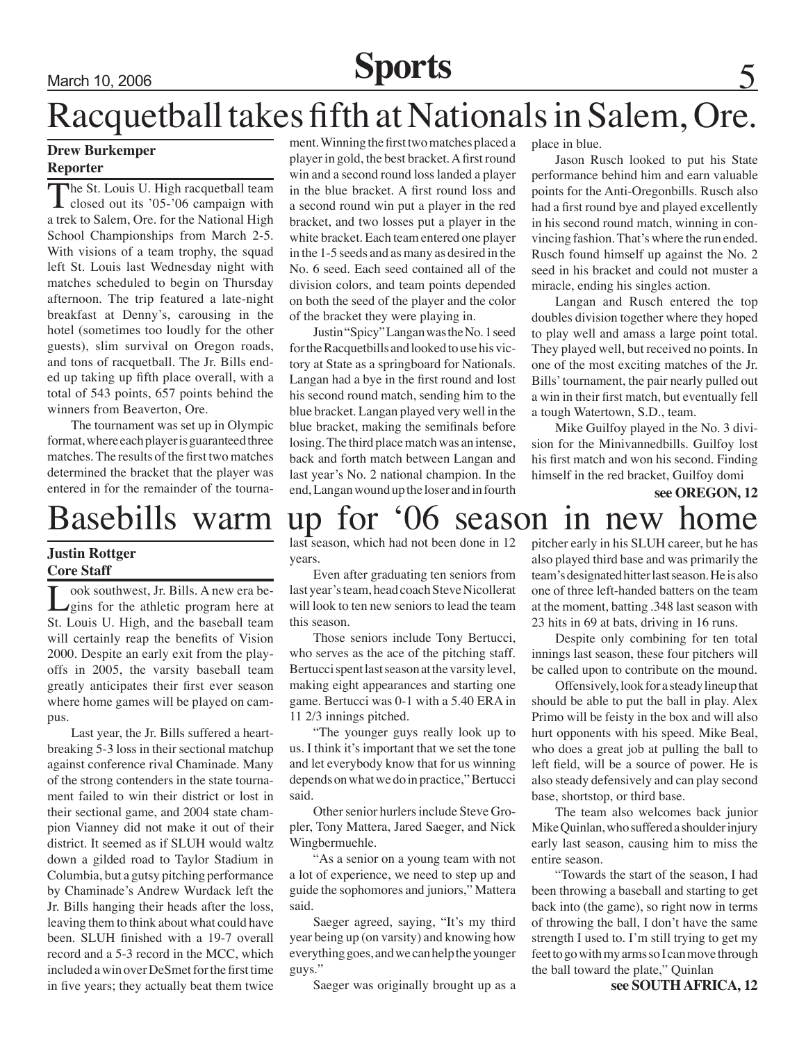## March 10, 2006 **Sports**

## Racquetball takes fifth at Nationals in Salem, Ore.

### **Drew Burkemper Reporter**

The St. Louis U. High racquetball team<br>closed out its '05-'06 campaign with<br>a trak to Salam Ora for the Mational High a trek to Salem, Ore. for the National High School Championships from March 2-5. With visions of a team trophy, the squad left St. Louis last Wednesday night with matches scheduled to begin on Thursday afternoon. The trip featured a late-night breakfast at Denny's, carousing in the hotel (sometimes too loudly for the other guests), slim survival on Oregon roads, and tons of racquetball. The Jr. Bills ended up taking up fifth place overall, with a total of 543 points, 657 points behind the winners from Beaverton, Ore.

The tournament was set up in Olympic format, where each player is guaranteed three matches. The results of the first two matches determined the bracket that the player was entered in for the remainder of the tourna-

### **Justin Rottger Core Staff**

Look southwest, Jr. Bills. A new era be-<br>
gins for the athletic program here at<br>
St. Louis JJ. High and the baseball team St. Louis U. High, and the baseball team will certainly reap the benefits of Vision 2000. Despite an early exit from the playoffs in 2005, the varsity baseball team greatly anticipates their first ever season where home games will be played on campus.

Last year, the Jr. Bills suffered a heartbreaking 5-3 loss in their sectional matchup against conference rival Chaminade. Many of the strong contenders in the state tournament failed to win their district or lost in their sectional game, and 2004 state champion Vianney did not make it out of their district. It seemed as if SLUH would waltz down a gilded road to Taylor Stadium in Columbia, but a gutsy pitching performance by Chaminade's Andrew Wurdack left the Jr. Bills hanging their heads after the loss, leaving them to think about what could have been. SLUH finished with a 19-7 overall record and a 5-3 record in the MCC, which included a win over DeSmet for the first time in five years; they actually beat them twice

ment. Winning the first two matches placed a player in gold, the best bracket. A first round win and a second round loss landed a player in the blue bracket. A first round loss and a second round win put a player in the red bracket, and two losses put a player in the white bracket. Each team entered one player in the 1-5 seeds and as many as desired in the No. 6 seed. Each seed contained all of the division colors, and team points depended on both the seed of the player and the color of the bracket they were playing in.

Justin "Spicy" Langan was the No. 1 seed for the Racquetbills and looked to use his victory at State as a springboard for Nationals. Langan had a bye in the first round and lost his second round match, sending him to the blue bracket. Langan played very well in the blue bracket, making the semifinals before losing. The third place match was an intense, back and forth match between Langan and last year's No. 2 national champion. In the end, Langan wound up the loser and in fourth place in blue.

Jason Rusch looked to put his State performance behind him and earn valuable points for the Anti-Oregonbills. Rusch also had a first round bye and played excellently in his second round match, winning in convincing fashion. That's where the run ended. Rusch found himself up against the No. 2 seed in his bracket and could not muster a miracle, ending his singles action.

Langan and Rusch entered the top doubles division together where they hoped to play well and amass a large point total. They played well, but received no points. In one of the most exciting matches of the Jr. Bills' tournament, the pair nearly pulled out a win in their first match, but eventually fell a tough Watertown, S.D., team.

Mike Guilfoy played in the No. 3 division for the Minivannedbills. Guilfoy lost his first match and won his second. Finding himself in the red bracket, Guilfoy domi

**see OREGON, 12**

### Basebills warm up for '06 season in new home

last season, which had not been done in 12 years.

Even after graduating ten seniors from last year's team, head coach Steve Nicollerat will look to ten new seniors to lead the team this season.

Those seniors include Tony Bertucci, who serves as the ace of the pitching staff. Bertucci spent last season at the varsity level, making eight appearances and starting one game. Bertucci was 0-1 with a 5.40 ERA in 11 2/3 innings pitched.

"The younger guys really look up to us. I think it's important that we set the tone and let everybody know that for us winning depends on what we do in practice," Bertucci said.

Other senior hurlers include Steve Gropler, Tony Mattera, Jared Saeger, and Nick Wingbermuehle.

"As a senior on a young team with not a lot of experience, we need to step up and guide the sophomores and juniors," Mattera said.

Saeger agreed, saying, "It's my third year being up (on varsity) and knowing how everything goes, and we can help the younger guys."

Saeger was originally brought up as a

pitcher early in his SLUH career, but he has also played third base and was primarily the team's designated hitter last season. He is also one of three left-handed batters on the team at the moment, batting .348 last season with 23 hits in 69 at bats, driving in 16 runs.

Despite only combining for ten total innings last season, these four pitchers will be called upon to contribute on the mound.

Offensively, look for a steady lineup that should be able to put the ball in play. Alex Primo will be feisty in the box and will also hurt opponents with his speed. Mike Beal, who does a great job at pulling the ball to left field, will be a source of power. He is also steady defensively and can play second base, shortstop, or third base.

The team also welcomes back junior Mike Quinlan, who suffered a shoulder injury early last season, causing him to miss the entire season.

"Towards the start of the season, I had been throwing a baseball and starting to get back into (the game), so right now in terms of throwing the ball, I don't have the same strength I used to. I'm still trying to get my feet to go with my arms so I can move through the ball toward the plate," Quinlan

**see SOUTH AFRICA, 12**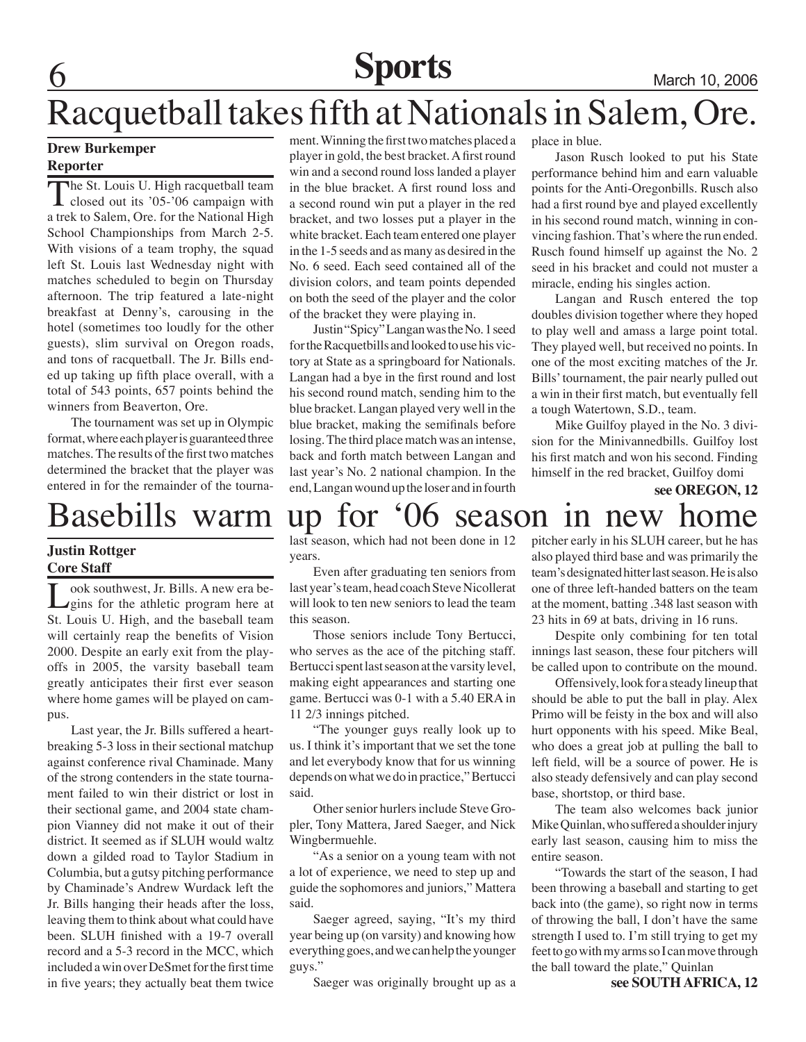### **Sports** March 10, 2006

## Racquetball takes fifth at Nationals in Salem, Ore.

### **Drew Burkemper Reporter**

The St. Louis U. High racquetball team<br>closed out its '05-'06 campaign with<br>a trak to Salam Ora for the Mational High a trek to Salem, Ore. for the National High School Championships from March 2-5. With visions of a team trophy, the squad left St. Louis last Wednesday night with matches scheduled to begin on Thursday afternoon. The trip featured a late-night breakfast at Denny's, carousing in the hotel (sometimes too loudly for the other guests), slim survival on Oregon roads, and tons of racquetball. The Jr. Bills ended up taking up fifth place overall, with a total of 543 points, 657 points behind the winners from Beaverton, Ore.

The tournament was set up in Olympic format, where each player is guaranteed three matches. The results of the first two matches determined the bracket that the player was entered in for the remainder of the tourna-

### **Justin Rottger Core Staff**

Look southwest, Jr. Bills. A new era be-<br>Legins for the athletic program here at St. Louis U. High, and the baseball team will certainly reap the benefits of Vision 2000. Despite an early exit from the playoffs in 2005, the varsity baseball team greatly anticipates their first ever season where home games will be played on campus.

Last year, the Jr. Bills suffered a heartbreaking 5-3 loss in their sectional matchup against conference rival Chaminade. Many of the strong contenders in the state tournament failed to win their district or lost in their sectional game, and 2004 state champion Vianney did not make it out of their district. It seemed as if SLUH would waltz down a gilded road to Taylor Stadium in Columbia, but a gutsy pitching performance by Chaminade's Andrew Wurdack left the Jr. Bills hanging their heads after the loss, leaving them to think about what could have been. SLUH finished with a 19-7 overall record and a 5-3 record in the MCC, which included a win over DeSmet for the first time in five years; they actually beat them twice

ment. Winning the first two matches placed a player in gold, the best bracket. A first round win and a second round loss landed a player in the blue bracket. A first round loss and a second round win put a player in the red bracket, and two losses put a player in the white bracket. Each team entered one player in the 1-5 seeds and as many as desired in the No. 6 seed. Each seed contained all of the division colors, and team points depended on both the seed of the player and the color of the bracket they were playing in.

Justin "Spicy" Langan was the No. 1 seed for the Racquetbills and looked to use his victory at State as a springboard for Nationals. Langan had a bye in the first round and lost his second round match, sending him to the blue bracket. Langan played very well in the blue bracket, making the semifinals before losing. The third place match was an intense, back and forth match between Langan and last year's No. 2 national champion. In the end, Langan wound up the loser and in fourth

place in blue.

Jason Rusch looked to put his State performance behind him and earn valuable points for the Anti-Oregonbills. Rusch also had a first round bye and played excellently in his second round match, winning in convincing fashion. That's where the run ended. Rusch found himself up against the No. 2 seed in his bracket and could not muster a miracle, ending his singles action.

Langan and Rusch entered the top doubles division together where they hoped to play well and amass a large point total. They played well, but received no points. In one of the most exciting matches of the Jr. Bills' tournament, the pair nearly pulled out a win in their first match, but eventually fell a tough Watertown, S.D., team.

Mike Guilfoy played in the No. 3 division for the Minivannedbills. Guilfoy lost his first match and won his second. Finding himself in the red bracket, Guilfoy domi

**see OREGON, 12**

### Basebills warm up for '06 season in new home

last season, which had not been done in 12 years.

Even after graduating ten seniors from last year's team, head coach Steve Nicollerat will look to ten new seniors to lead the team this season.

Those seniors include Tony Bertucci, who serves as the ace of the pitching staff. Bertucci spent last season at the varsity level, making eight appearances and starting one game. Bertucci was 0-1 with a 5.40 ERA in 11 2/3 innings pitched.

"The younger guys really look up to us. I think it's important that we set the tone and let everybody know that for us winning depends on what we do in practice," Bertucci said.

Other senior hurlers include Steve Gropler, Tony Mattera, Jared Saeger, and Nick Wingbermuehle.

"As a senior on a young team with not a lot of experience, we need to step up and guide the sophomores and juniors," Mattera said.

Saeger agreed, saying, "It's my third year being up (on varsity) and knowing how everything goes, and we can help the younger guys."

Saeger was originally brought up as a

pitcher early in his SLUH career, but he has also played third base and was primarily the team's designated hitter last season. He is also one of three left-handed batters on the team at the moment, batting .348 last season with 23 hits in 69 at bats, driving in 16 runs.

Despite only combining for ten total innings last season, these four pitchers will be called upon to contribute on the mound.

Offensively, look for a steady lineup that should be able to put the ball in play. Alex Primo will be feisty in the box and will also hurt opponents with his speed. Mike Beal, who does a great job at pulling the ball to left field, will be a source of power. He is also steady defensively and can play second base, shortstop, or third base.

The team also welcomes back junior Mike Quinlan, who suffered a shoulder injury early last season, causing him to miss the entire season.

"Towards the start of the season, I had been throwing a baseball and starting to get back into (the game), so right now in terms of throwing the ball, I don't have the same strength I used to. I'm still trying to get my feet to go with my arms so I can move through the ball toward the plate," Quinlan

**see SOUTH AFRICA, 12**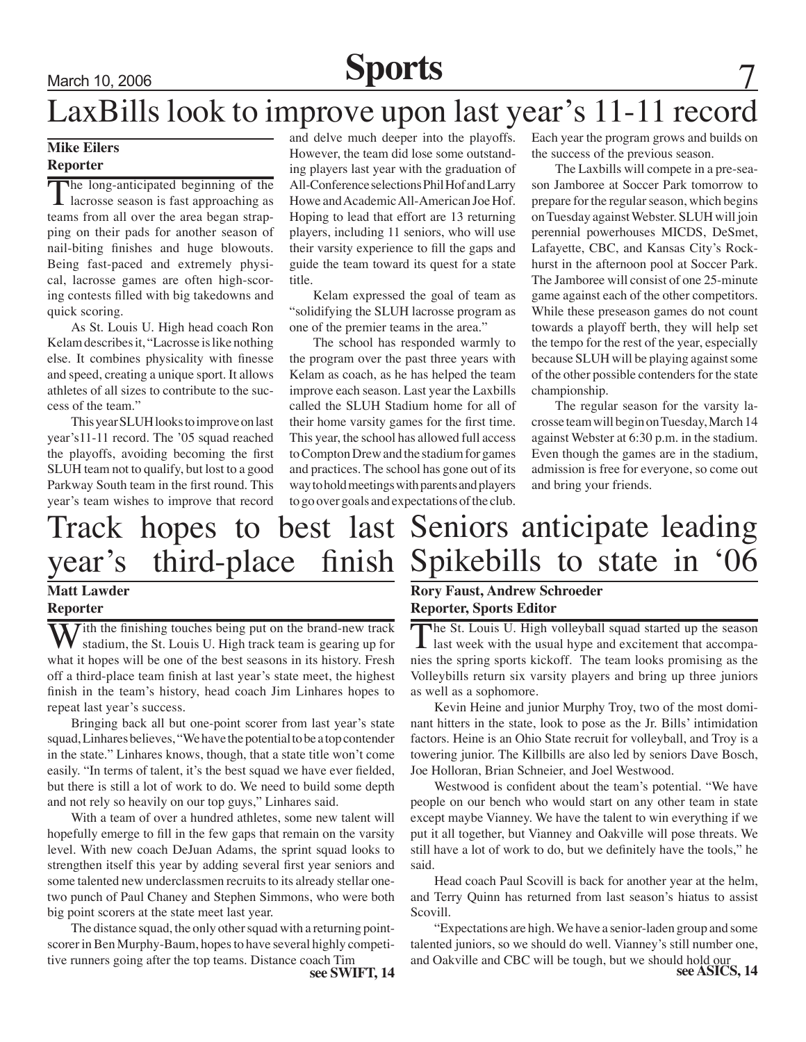## March 10, 2006 **Sports**

### LaxBills look to improve upon last year's 11-11 record

### **Mike Eilers Reporter**

The long-anticipated beginning of the lacrosse season is fast approaching as the street of the street of the street street. teams from all over the area began strapping on their pads for another season of nail-biting finishes and huge blowouts. Being fast-paced and extremely physical, lacrosse games are often high-scoring contests filled with big takedowns and quick scoring.

As St. Louis U. High head coach Ron Kelam describes it, "Lacrosse is like nothing else. It combines physicality with finesse and speed, creating a unique sport. It allows athletes of all sizes to contribute to the success of the team."

This year SLUH looks to improve on last year's11-11 record. The '05 squad reached the playoffs, avoiding becoming the first SLUH team not to qualify, but lost to a good Parkway South team in the first round. This year's team wishes to improve that record

and delve much deeper into the playoffs. However, the team did lose some outstanding players last year with the graduation of All-Conference selections Phil Hof and Larry Howe and Academic All-American Joe Hof. Hoping to lead that effort are 13 returning players, including 11 seniors, who will use their varsity experience to fill the gaps and guide the team toward its quest for a state title.

Kelam expressed the goal of team as "solidifying the SLUH lacrosse program as one of the premier teams in the area."

The school has responded warmly to the program over the past three years with Kelam as coach, as he has helped the team improve each season. Last year the Laxbills called the SLUH Stadium home for all of their home varsity games for the first time. This year, the school has allowed full access to Compton Drew and the stadium for games and practices. The school has gone out of its way to hold meetings with parents and players to go over goals and expectations of the club.

Each year the program grows and builds on the success of the previous season.

The Laxbills will compete in a pre-season Jamboree at Soccer Park tomorrow to prepare for the regular season, which begins on Tuesday against Webster. SLUH will join perennial powerhouses MICDS, DeSmet, Lafayette, CBC, and Kansas City's Rockhurst in the afternoon pool at Soccer Park. The Jamboree will consist of one 25-minute game against each of the other competitors. While these preseason games do not count towards a playoff berth, they will help set the tempo for the rest of the year, especially because SLUH will be playing against some of the other possible contenders for the state championship.

The regular season for the varsity lacrosse team will begin on Tuesday, March 14 against Webster at 6:30 p.m. in the stadium. Even though the games are in the stadium, admission is free for everyone, so come out and bring your friends.

### Track hopes to best last Seniors anticipate leading year's third-place

### **Matt Lawder Reporter**

W ith the finishing touches being put on the brand-new track stadium, the St. Louis U. High track team is gearing up for what it has no set the heat second in its history. Each what it hopes will be one of the best seasons in its history. Fresh off a third-place team finish at last year's state meet, the highest finish in the team's history, head coach Jim Linhares hopes to repeat last year's success.

Bringing back all but one-point scorer from last year's state squad, Linhares believes, "We have the potential to be a top contender in the state." Linhares knows, though, that a state title won't come easily. "In terms of talent, it's the best squad we have ever fielded, but there is still a lot of work to do. We need to build some depth and not rely so heavily on our top guys," Linhares said.

With a team of over a hundred athletes, some new talent will hopefully emerge to fill in the few gaps that remain on the varsity level. With new coach DeJuan Adams, the sprint squad looks to strengthen itself this year by adding several first year seniors and some talented new underclassmen recruits to its already stellar onetwo punch of Paul Chaney and Stephen Simmons, who were both big point scorers at the state meet last year.

The distance squad, the only other squad with a returning pointscorer in Ben Murphy-Baum, hopes to have several highly competitive runners going after the top teams. Distance coach Tim<br>see SWIFT, 14

# finish Spikebills to state in '06

### **Rory Faust, Andrew Schroeder Reporter, Sports Editor**

The St. Louis U. High volleyball squad started up the season last week with the usual hype and excitement that accompa-<br>mise the prejus graph: bigheff. The term lashed promising as the nies the spring sports kickoff. The team looks promising as the Volleybills return six varsity players and bring up three juniors as well as a sophomore.

Kevin Heine and junior Murphy Troy, two of the most dominant hitters in the state, look to pose as the Jr. Bills' intimidation factors. Heine is an Ohio State recruit for volleyball, and Troy is a towering junior. The Killbills are also led by seniors Dave Bosch, Joe Holloran, Brian Schneier, and Joel Westwood.

Westwood is confident about the team's potential. "We have people on our bench who would start on any other team in state except maybe Vianney. We have the talent to win everything if we put it all together, but Vianney and Oakville will pose threats. We still have a lot of work to do, but we definitely have the tools," he said.

Head coach Paul Scovill is back for another year at the helm, and Terry Quinn has returned from last season's hiatus to assist Scovill.

"Expectations are high. We have a senior-laden group and some talented juniors, so we should do well. Vianney's still number one, and Oakville and CBC will be tough, but we should hold our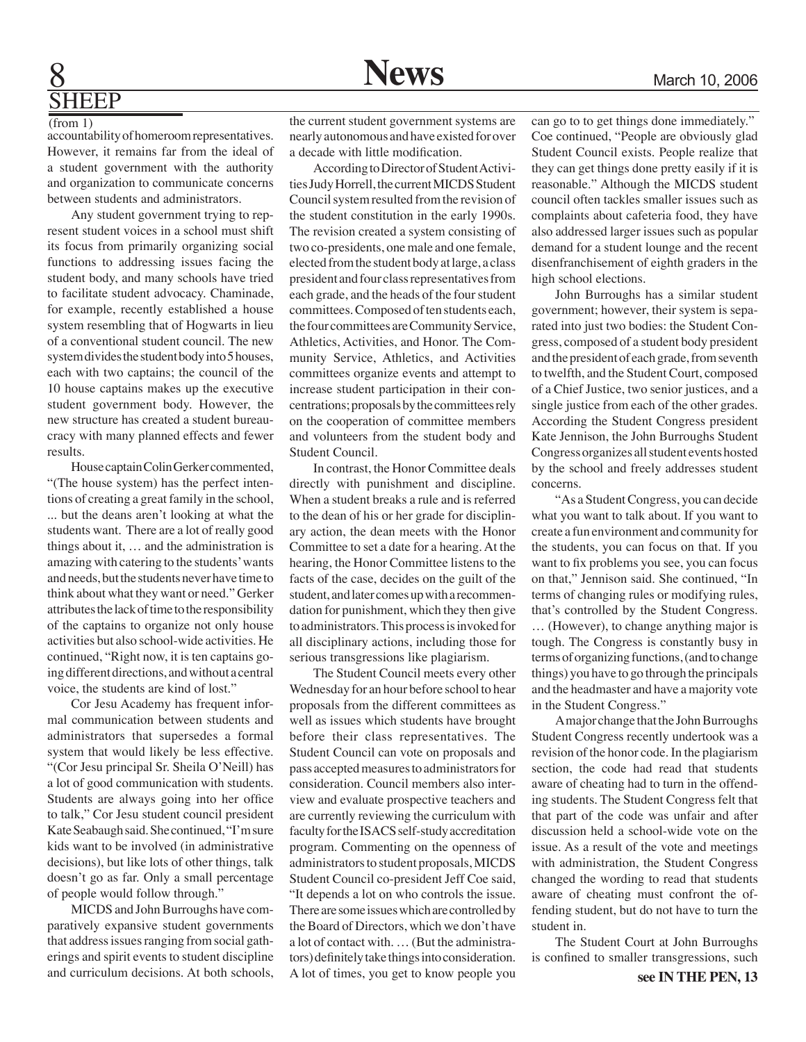## **SHEEP**

(from 1) accountability of homeroom representatives. However, it remains far from the ideal of a student government with the authority and organization to communicate concerns between students and administrators.

Any student government trying to represent student voices in a school must shift its focus from primarily organizing social functions to addressing issues facing the student body, and many schools have tried to facilitate student advocacy. Chaminade, for example, recently established a house system resembling that of Hogwarts in lieu of a conventional student council. The new system divides the student body into 5 houses, each with two captains; the council of the 10 house captains makes up the executive student government body. However, the new structure has created a student bureaucracy with many planned effects and fewer results.

House captain Colin Gerker commented, "(The house system) has the perfect intentions of creating a great family in the school, ... but the deans aren't looking at what the students want. There are a lot of really good things about it, … and the administration is amazing with catering to the students' wants and needs, but the students never have time to think about what they want or need." Gerker attributes the lack of time to the responsibility of the captains to organize not only house activities but also school-wide activities. He continued, "Right now, it is ten captains going different directions, and without a central voice, the students are kind of lost."

Cor Jesu Academy has frequent informal communication between students and administrators that supersedes a formal system that would likely be less effective. "(Cor Jesu principal Sr. Sheila O'Neill) has a lot of good communication with students. Students are always going into her office to talk," Cor Jesu student council president Kate Seabaugh said. She continued, "I'm sure kids want to be involved (in administrative decisions), but like lots of other things, talk doesn't go as far. Only a small percentage of people would follow through."

MICDS and John Burroughs have comparatively expansive student governments that address issues ranging from social gatherings and spirit events to student discipline and curriculum decisions. At both schools,

the current student government systems are nearly autonomous and have existed for over a decade with little modification.

According to Director of Student Activities Judy Horrell, the current MICDS Student Council system resulted from the revision of the student constitution in the early 1990s. The revision created a system consisting of two co-presidents, one male and one female, elected from the student body at large, a class president and four class representatives from each grade, and the heads of the four student committees. Composed of ten students each, the four committees are Community Service, Athletics, Activities, and Honor. The Community Service, Athletics, and Activities committees organize events and attempt to increase student participation in their concentrations; proposals by the committees rely on the cooperation of committee members and volunteers from the student body and Student Council.

In contrast, the Honor Committee deals directly with punishment and discipline. When a student breaks a rule and is referred to the dean of his or her grade for disciplinary action, the dean meets with the Honor Committee to set a date for a hearing. At the hearing, the Honor Committee listens to the facts of the case, decides on the guilt of the student, and later comes up with a recommendation for punishment, which they then give to administrators. This process is invoked for all disciplinary actions, including those for serious transgressions like plagiarism.

The Student Council meets every other Wednesday for an hour before school to hear proposals from the different committees as well as issues which students have brought before their class representatives. The Student Council can vote on proposals and pass accepted measures to administrators for consideration. Council members also interview and evaluate prospective teachers and are currently reviewing the curriculum with faculty for the ISACS self-study accreditation program. Commenting on the openness of administrators to student proposals, MICDS Student Council co-president Jeff Coe said, "It depends a lot on who controls the issue. There are some issues which are controlled by the Board of Directors, which we don't have a lot of contact with. … (But the administrators) definitely take things into consideration. A lot of times, you get to know people you

can go to to get things done immediately." Coe continued, "People are obviously glad Student Council exists. People realize that they can get things done pretty easily if it is reasonable." Although the MICDS student council often tackles smaller issues such as complaints about cafeteria food, they have also addressed larger issues such as popular demand for a student lounge and the recent disenfranchisement of eighth graders in the high school elections.

John Burroughs has a similar student government; however, their system is separated into just two bodies: the Student Congress, composed of a student body president and the president of each grade, from seventh to twelfth, and the Student Court, composed of a Chief Justice, two senior justices, and a single justice from each of the other grades. According the Student Congress president Kate Jennison, the John Burroughs Student Congress organizes all student events hosted by the school and freely addresses student concerns.

"As a Student Congress, you can decide what you want to talk about. If you want to create a fun environment and community for the students, you can focus on that. If you want to fix problems you see, you can focus on that," Jennison said. She continued, "In terms of changing rules or modifying rules, that's controlled by the Student Congress. … (However), to change anything major is tough. The Congress is constantly busy in terms of organizing functions, (and to change things) you have to go through the principals and the headmaster and have a majority vote in the Student Congress."

A major change that the John Burroughs Student Congress recently undertook was a revision of the honor code. In the plagiarism section, the code had read that students aware of cheating had to turn in the offending students. The Student Congress felt that that part of the code was unfair and after discussion held a school-wide vote on the issue. As a result of the vote and meetings with administration, the Student Congress changed the wording to read that students aware of cheating must confront the offending student, but do not have to turn the student in.

The Student Court at John Burroughs is confined to smaller transgressions, such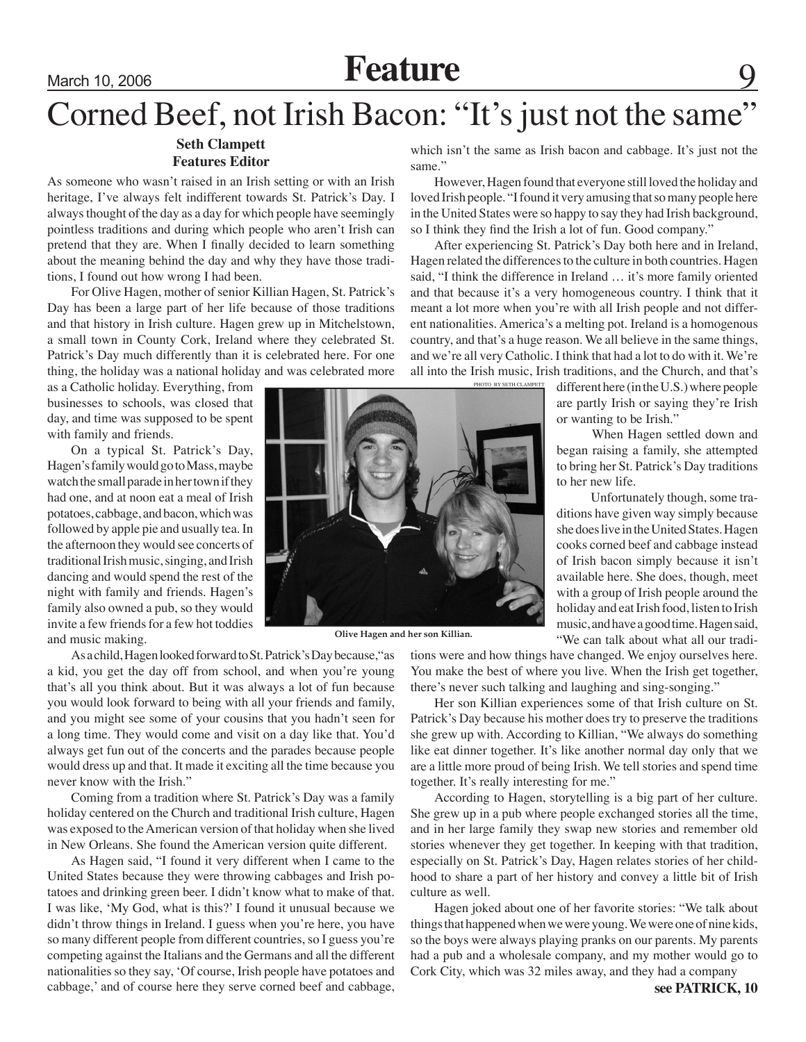### Corned Beef, not Irish Bacon: "It's just not the same"

### **Seth Clampett Features Editor**

As someone who wasn't raised in an Irish setting or with an Irish heritage, I've always felt indifferent towards St. Patrick's Day. I always thought of the day as a day for which people have seemingly pointless traditions and during which people who aren't Irish can pretend that they are. When I finally decided to learn something about the meaning behind the day and why they have those traditions, I found out how wrong I had been.

For Olive Hagen, mother of senior Killian Hagen, St. Patrick's Day has been a large part of her life because of those traditions and that history in Irish culture. Hagen grew up in Mitchelstown, a small town in County Cork, Ireland where they celebrated St. Patrick's Day much differently than it is celebrated here. For one thing, the holiday was a national holiday and was celebrated more

as a Catholic holiday. Everything, from businesses to schools, was closed that day, and time was supposed to be spent with family and friends.

On a typical St. Patrick's Day, Hagen's family would go to Mass, maybe watch the small parade in her town if they had one, and at noon eat a meal of Irish potatoes, cabbage, and bacon, which was followed by apple pie and usually tea. In the afternoon they would see concerts of traditional Irish music, singing, and Irish dancing and would spend the rest of the night with family and friends. Hagen's family also owned a pub, so they would invite a few friends for a few hot toddies and music making.

As a child, Hagen looked forward to St. Patrick's Day because,"as a kid, you get the day off from school, and when you're young that's all you think about. But it was always a lot of fun because you would look forward to being with all your friends and family, and you might see some of your cousins that you hadn't seen for a long time. They would come and visit on a day like that. You'd always get fun out of the concerts and the parades because people would dress up and that. It made it exciting all the time because you never know with the Irish."

Coming from a tradition where St. Patrick's Day was a family holiday centered on the Church and traditional Irish culture, Hagen was exposed to the American version of that holiday when she lived in New Orleans. She found the American version quite different.

As Hagen said, "I found it very different when I came to the United States because they were throwing cabbages and Irish potatoes and drinking green beer. I didn't know what to make of that. I was like, 'My God, what is this?' I found it unusual because we didn't throw things in Ireland. I guess when you're here, you have so many different people from different countries, so I guess you're competing against the Italians and the Germans and all the different nationalities so they say, 'Of course, Irish people have potatoes and cabbage,' and of course here they serve corned beef and cabbage,

which isn't the same as Irish bacon and cabbage. It's just not the same."

However, Hagen found that everyone still loved the holiday and loved Irish people. "I found it very amusing that so many people here in the United States were so happy to say they had Irish background, so I think they find the Irish a lot of fun. Good company."

After experiencing St. Patrick's Day both here and in Ireland, Hagen related the differences to the culture in both countries. Hagen said, "I think the difference in Ireland … it's more family oriented and that because it's a very homogeneous country. I think that it meant a lot more when you're with all Irish people and not different nationalities. America's a melting pot. Ireland is a homogenous country, and that's a huge reason. We all believe in the same things, and we're all very Catholic. I think that had a lot to do with it. We're all into the Irish music, Irish traditions, and the Church, and that's

> different here (in the U.S.) where people are partly Irish or saying they're Irish or wanting to be Irish."

> When Hagen settled down and began raising a family, she attempted to bring her St. Patrick's Day traditions to her new life.

> Unfortunately though, some traditions have given way simply because she does live in the United States. Hagen cooks corned beef and cabbage instead of Irish bacon simply because it isn't available here. She does, though, meet with a group of Irish people around the holiday and eat Irish food, listen to Irish music, and have a good time. Hagen said, "We can talk about what all our tradi-

**Olive Hagen and her son Killian.**

tions were and how things have changed. We enjoy ourselves here. You make the best of where you live. When the Irish get together, there's never such talking and laughing and sing-songing."

Her son Killian experiences some of that Irish culture on St. Patrick's Day because his mother does try to preserve the traditions she grew up with. According to Killian, "We always do something like eat dinner together. It's like another normal day only that we are a little more proud of being Irish. We tell stories and spend time together. It's really interesting for me."

According to Hagen, storytelling is a big part of her culture. She grew up in a pub where people exchanged stories all the time, and in her large family they swap new stories and remember old stories whenever they get together. In keeping with that tradition, especially on St. Patrick's Day, Hagen relates stories of her childhood to share a part of her history and convey a little bit of Irish culture as well.

Hagen joked about one of her favorite stories: "We talk about things that happened when we were young. We were one of nine kids, so the boys were always playing pranks on our parents. My parents had a pub and a wholesale company, and my mother would go to Cork City, which was 32 miles away, and they had a company

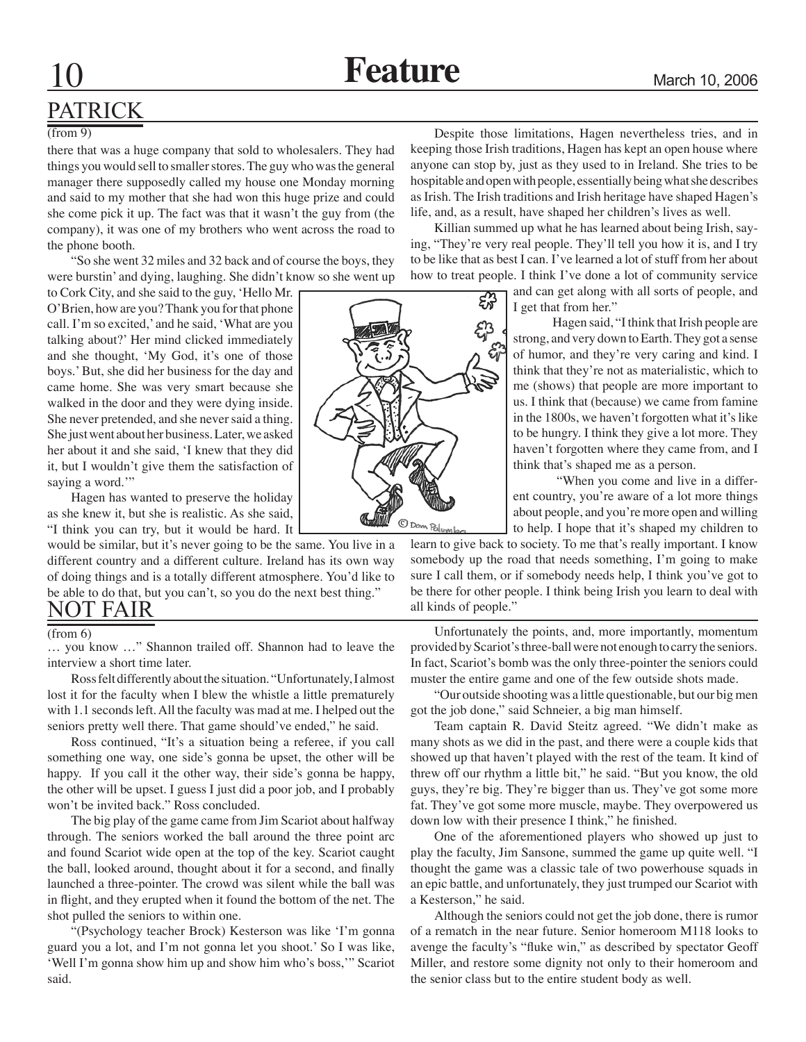### PATRICK

#### (from 9)

there that was a huge company that sold to wholesalers. They had things you would sell to smaller stores. The guy who was the general manager there supposedly called my house one Monday morning and said to my mother that she had won this huge prize and could she come pick it up. The fact was that it wasn't the guy from (the company), it was one of my brothers who went across the road to the phone booth.

"So she went 32 miles and 32 back and of course the boys, they were burstin' and dying, laughing. She didn't know so she went up

to Cork City, and she said to the guy, 'Hello Mr. O'Brien, how are you? Thank you for that phone call. I'm so excited,' and he said, 'What are you talking about?' Her mind clicked immediately and she thought, 'My God, it's one of those boys.' But, she did her business for the day and came home. She was very smart because she walked in the door and they were dying inside. She never pretended, and she never said a thing. She just went about her business. Later, we asked her about it and she said, 'I knew that they did it, but I wouldn't give them the satisfaction of saying a word."

Hagen has wanted to preserve the holiday as she knew it, but she is realistic. As she said, "I think you can try, but it would be hard. It

would be similar, but it's never going to be the same. You live in a different country and a different culture. Ireland has its own way of doing things and is a totally different atmosphere. You'd like to be able to do that, but you can't, so you do the next best thing."

#### (from 6)

… you know …" Shannon trailed off. Shannon had to leave the interview a short time later.

Ross felt differently about the situation. "Unfortunately, I almost lost it for the faculty when I blew the whistle a little prematurely with 1.1 seconds left. All the faculty was mad at me. I helped out the seniors pretty well there. That game should've ended," he said.

Ross continued, "It's a situation being a referee, if you call something one way, one side's gonna be upset, the other will be happy. If you call it the other way, their side's gonna be happy, the other will be upset. I guess I just did a poor job, and I probably won't be invited back." Ross concluded.

The big play of the game came from Jim Scariot about halfway through. The seniors worked the ball around the three point arc and found Scariot wide open at the top of the key. Scariot caught the ball, looked around, thought about it for a second, and finally launched a three-pointer. The crowd was silent while the ball was in flight, and they erupted when it found the bottom of the net. The shot pulled the seniors to within one.

"(Psychology teacher Brock) Kesterson was like 'I'm gonna guard you a lot, and I'm not gonna let you shoot.' So I was like, 'Well I'm gonna show him up and show him who's boss,'" Scariot said.

Despite those limitations, Hagen nevertheless tries, and in keeping those Irish traditions, Hagen has kept an open house where anyone can stop by, just as they used to in Ireland. She tries to be hospitable and open with people, essentially being what she describes as Irish. The Irish traditions and Irish heritage have shaped Hagen's life, and, as a result, have shaped her children's lives as well.

ing, "They're very real people. They'll tell you how it is, and I try to be like that as best I can. I've learned a lot of stuff from her about how to treat people. I think I've done a lot of community service

> and can get along with all sorts of people, and I get that from her."

strong, and very down to Earth. They got a sense of humor, and they're very caring and kind. I think that they're not as materialistic, which to me (shows) that people are more important to us. I think that (because) we came from famine in the 1800s, we haven't forgotten what it's like to be hungry. I think they give a lot more. They haven't forgotten where they came from, and I think that's shaped me as a person.

ent country, you're aware of a lot more things about people, and you're more open and willing

learn to give back to society. To me that's really important. I know somebody up the road that needs something, I'm going to make sure I call them, or if somebody needs help, I think you've got to be there for other people. I think being Irish you learn to deal with NOT FAIR all kinds of people."

> Unfortunately the points, and, more importantly, momentum provided by Scariot's three-ball were not enough to carry the seniors. In fact, Scariot's bomb was the only three-pointer the seniors could muster the entire game and one of the few outside shots made.

> "Our outside shooting was a little questionable, but our big men got the job done," said Schneier, a big man himself.

> Team captain R. David Steitz agreed. "We didn't make as many shots as we did in the past, and there were a couple kids that showed up that haven't played with the rest of the team. It kind of threw off our rhythm a little bit," he said. "But you know, the old guys, they're big. They're bigger than us. They've got some more fat. They've got some more muscle, maybe. They overpowered us down low with their presence I think," he finished.

> One of the aforementioned players who showed up just to play the faculty, Jim Sansone, summed the game up quite well. "I thought the game was a classic tale of two powerhouse squads in an epic battle, and unfortunately, they just trumped our Scariot with a Kesterson," he said.

> Although the seniors could not get the job done, there is rumor of a rematch in the near future. Senior homeroom M118 looks to avenge the faculty's "fluke win," as described by spectator Geoff Miller, and restore some dignity not only to their homeroom and the senior class but to the entire student body as well.

Killian summed up what he has learned about being Irish, say-

Hagen said, "I think that Irish people are

 "When you come and live in a differto help. I hope that it's shaped my children to

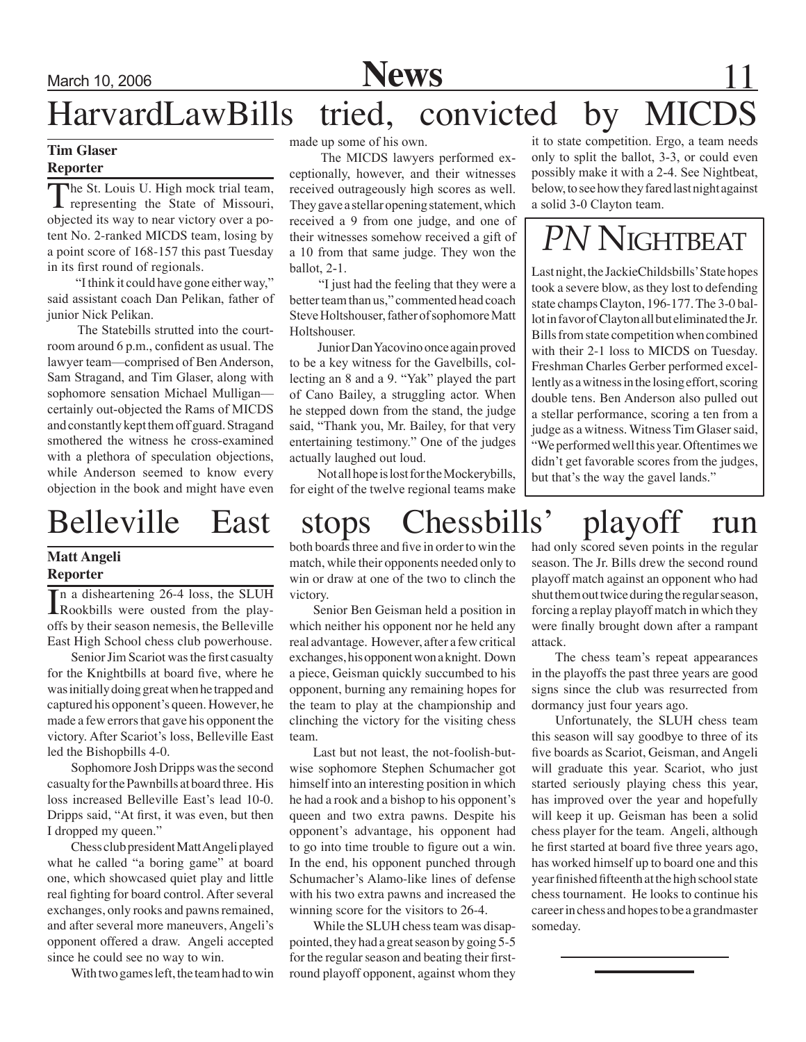

### March 10, 2006 **News** 11 HarvardLawBills tried, convicted by MICDS

### **Tim Glaser Reporter**

The St. Louis U. High mock trial team,<br>representing the State of Missouri,<br>objected its way to easy victory average. objected its way to near victory over a potent No. 2-ranked MICDS team, losing by a point score of 168-157 this past Tuesday in its first round of regionals.

 "I think it could have gone either way," said assistant coach Dan Pelikan, father of junior Nick Pelikan.

 The Statebills strutted into the courtroom around 6 p.m., confident as usual. The lawyer team—comprised of Ben Anderson, Sam Stragand, and Tim Glaser, along with sophomore sensation Michael Mulligan certainly out-objected the Rams of MICDS and constantly kept them off guard. Stragand smothered the witness he cross-examined with a plethora of speculation objections, while Anderson seemed to know every objection in the book and might have even

### **Matt Angeli Reporter**

In a disheartening 26-4 loss, the SLUH<br>Rookbills were ousted from the play-<br>offe by their assess names is the Ballaville n a disheartening 26-4 loss, the SLUH offs by their season nemesis, the Belleville East High School chess club powerhouse.

Senior Jim Scariot was the first casualty for the Knightbills at board five, where he was initially doing great when he trapped and captured his opponent's queen. However, he made a few errors that gave his opponent the victory. After Scariot's loss, Belleville East led the Bishopbills 4-0.

Sophomore Josh Dripps was the second casualty for the Pawnbills at board three. His loss increased Belleville East's lead 10-0. Dripps said, "At first, it was even, but then I dropped my queen."

Chess club president Matt Angeli played what he called "a boring game" at board one, which showcased quiet play and little real fighting for board control. After several exchanges, only rooks and pawns remained, and after several more maneuvers, Angeli's opponent offered a draw. Angeli accepted since he could see no way to win.

With two games left, the team had to win

made up some of his own.

 The MICDS lawyers performed exceptionally, however, and their witnesses received outrageously high scores as well. They gave a stellar opening statement, which received a 9 from one judge, and one of their witnesses somehow received a gift of a 10 from that same judge. They won the ballot, 2-1.

 "I just had the feeling that they were a better team than us," commented head coach Steve Holtshouser, father of sophomore Matt Holtshouser.

 Junior Dan Yacovino once again proved to be a key witness for the Gavelbills, collecting an 8 and a 9. "Yak" played the part of Cano Bailey, a struggling actor. When he stepped down from the stand, the judge said, "Thank you, Mr. Bailey, for that very entertaining testimony." One of the judges actually laughed out loud.

 Not all hope is lost for the Mockerybills, for eight of the twelve regional teams make it to state competition. Ergo, a team needs only to split the ballot, 3-3, or could even possibly make it with a 2-4. See Nightbeat, below, to see how they fared last night against a solid 3-0 Clayton team.

## *PN* Nightbeat

Last night, the JackieChildsbills' State hopes took a severe blow, as they lost to defending state champs Clayton, 196-177. The 3-0 ballot in favor of Clayton all but eliminated the Jr. Bills from state competition when combined with their 2-1 loss to MICDS on Tuesday. Freshman Charles Gerber performed excellently as a witness in the losing effort, scoring double tens. Ben Anderson also pulled out a stellar performance, scoring a ten from a judge as a witness. Witness Tim Glaser said, "We performed well this year. Oftentimes we didn't get favorable scores from the judges, but that's the way the gavel lands."

### Belleville East stops Chessbills' playoff run

both boards three and five in order to win the match, while their opponents needed only to win or draw at one of the two to clinch the victory.

Senior Ben Geisman held a position in which neither his opponent nor he held any real advantage. However, after a few critical exchanges, his opponent won a knight. Down a piece, Geisman quickly succumbed to his opponent, burning any remaining hopes for the team to play at the championship and clinching the victory for the visiting chess team.

Last but not least, the not-foolish-butwise sophomore Stephen Schumacher got himself into an interesting position in which he had a rook and a bishop to his opponent's queen and two extra pawns. Despite his opponent's advantage, his opponent had to go into time trouble to figure out a win. In the end, his opponent punched through Schumacher's Alamo-like lines of defense with his two extra pawns and increased the winning score for the visitors to 26-4.

While the SLUH chess team was disappointed, they had a great season by going 5-5 for the regular season and beating their firstround playoff opponent, against whom they

had only scored seven points in the regular season. The Jr. Bills drew the second round playoff match against an opponent who had shut them out twice during the regular season, forcing a replay playoff match in which they were finally brought down after a rampant attack.

The chess team's repeat appearances in the playoffs the past three years are good signs since the club was resurrected from dormancy just four years ago.

Unfortunately, the SLUH chess team this season will say goodbye to three of its five boards as Scariot, Geisman, and Angeli will graduate this year. Scariot, who just started seriously playing chess this year, has improved over the year and hopefully will keep it up. Geisman has been a solid chess player for the team. Angeli, although he first started at board five three years ago, has worked himself up to board one and this year finished fifteenth at the high school state chess tournament. He looks to continue his career in chess and hopes to be a grandmaster someday.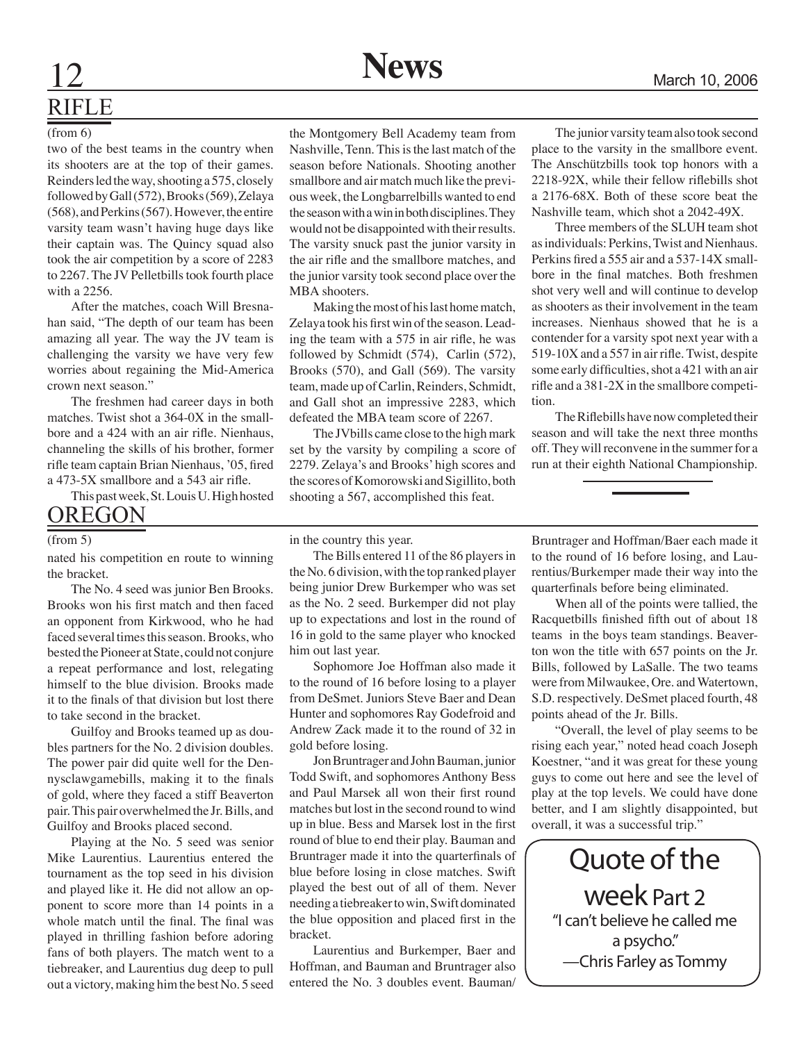# RIFLE

#### (from 6)

two of the best teams in the country when its shooters are at the top of their games. Reinders led the way, shooting a 575, closely followed by Gall (572), Brooks (569), Zelaya (568), and Perkins (567). However, the entire varsity team wasn't having huge days like their captain was. The Quincy squad also took the air competition by a score of 2283 to 2267. The JV Pelletbills took fourth place with a 2256.

After the matches, coach Will Bresnahan said, "The depth of our team has been amazing all year. The way the JV team is challenging the varsity we have very few worries about regaining the Mid-America crown next season."

The freshmen had career days in both matches. Twist shot a 364-0X in the smallbore and a 424 with an air rifle. Nienhaus, channeling the skills of his brother, former rifle team captain Brian Nienhaus, '05, fired a 473-5X smallbore and a 543 air rifle.

This past week, St. Louis U. High hosted **OREGON** 

#### (from 5)

nated his competition en route to winning the bracket.

 The No. 4 seed was junior Ben Brooks. Brooks won his first match and then faced an opponent from Kirkwood, who he had faced several times this season. Brooks, who bested the Pioneer at State, could not conjure a repeat performance and lost, relegating himself to the blue division. Brooks made it to the finals of that division but lost there to take second in the bracket.

Guilfoy and Brooks teamed up as doubles partners for the No. 2 division doubles. The power pair did quite well for the Dennysclawgamebills, making it to the finals of gold, where they faced a stiff Beaverton pair. This pair overwhelmed the Jr. Bills, and Guilfoy and Brooks placed second.

 Playing at the No. 5 seed was senior Mike Laurentius. Laurentius entered the tournament as the top seed in his division and played like it. He did not allow an opponent to score more than 14 points in a whole match until the final. The final was played in thrilling fashion before adoring fans of both players. The match went to a tiebreaker, and Laurentius dug deep to pull out a victory, making him the best No. 5 seed

the Montgomery Bell Academy team from Nashville, Tenn. This is the last match of the season before Nationals. Shooting another smallbore and air match much like the previous week, the Longbarrelbills wanted to end the season with a win in both disciplines. They would not be disappointed with their results. The varsity snuck past the junior varsity in the air rifle and the smallbore matches, and the junior varsity took second place over the MBA shooters.

Making the most of his last home match, Zelaya took his first win of the season. Leading the team with a 575 in air rifle, he was followed by Schmidt (574), Carlin (572), Brooks (570), and Gall (569). The varsity team, made up of Carlin, Reinders, Schmidt, and Gall shot an impressive 2283, which defeated the MBA team score of 2267.

The JVbills came close to the high mark set by the varsity by compiling a score of 2279. Zelaya's and Brooks' high scores and the scores of Komorowski and Sigillito, both shooting a 567, accomplished this feat.

The junior varsity team also took second place to the varsity in the smallbore event. The Anschützbills took top honors with a 2218-92X, while their fellow riflebills shot a 2176-68X. Both of these score beat the Nashville team, which shot a 2042-49X.

Three members of the SLUH team shot as individuals: Perkins, Twist and Nienhaus. Perkins fired a 555 air and a 537-14X smallbore in the final matches. Both freshmen shot very well and will continue to develop as shooters as their involvement in the team increases. Nienhaus showed that he is a contender for a varsity spot next year with a 519-10X and a 557 in air rifle. Twist, despite some early difficulties, shot a 421 with an air rifle and a 381-2X in the smallbore competition.

 The Riflebills have now completed their season and will take the next three months off. They will reconvene in the summer for a run at their eighth National Championship.

in the country this year.

The Bills entered 11 of the 86 players in the No. 6 division, with the top ranked player being junior Drew Burkemper who was set as the No. 2 seed. Burkemper did not play up to expectations and lost in the round of 16 in gold to the same player who knocked him out last year.

Sophomore Joe Hoffman also made it to the round of 16 before losing to a player from DeSmet. Juniors Steve Baer and Dean Hunter and sophomores Ray Godefroid and Andrew Zack made it to the round of 32 in gold before losing.

Jon Bruntrager and John Bauman, junior Todd Swift, and sophomores Anthony Bess and Paul Marsek all won their first round matches but lost in the second round to wind up in blue. Bess and Marsek lost in the first round of blue to end their play. Bauman and Bruntrager made it into the quarterfinals of blue before losing in close matches. Swift played the best out of all of them. Never needing a tiebreaker to win, Swift dominated the blue opposition and placed first in the bracket.

Laurentius and Burkemper, Baer and Hoffman, and Bauman and Bruntrager also entered the No. 3 doubles event. Bauman/

Bruntrager and Hoffman/Baer each made it to the round of 16 before losing, and Laurentius/Burkemper made their way into the quarterfinals before being eliminated.

When all of the points were tallied, the Racquetbills finished fifth out of about 18 teams in the boys team standings. Beaverton won the title with 657 points on the Jr. Bills, followed by LaSalle. The two teams were from Milwaukee, Ore. and Watertown, S.D. respectively. DeSmet placed fourth, 48 points ahead of the Jr. Bills.

"Overall, the level of play seems to be rising each year," noted head coach Joseph Koestner, "and it was great for these young guys to come out here and see the level of play at the top levels. We could have done better, and I am slightly disappointed, but overall, it was a successful trip."

Quote of the week Part 2 "I can't believe he called me a psycho." —Chris Farley as Tommy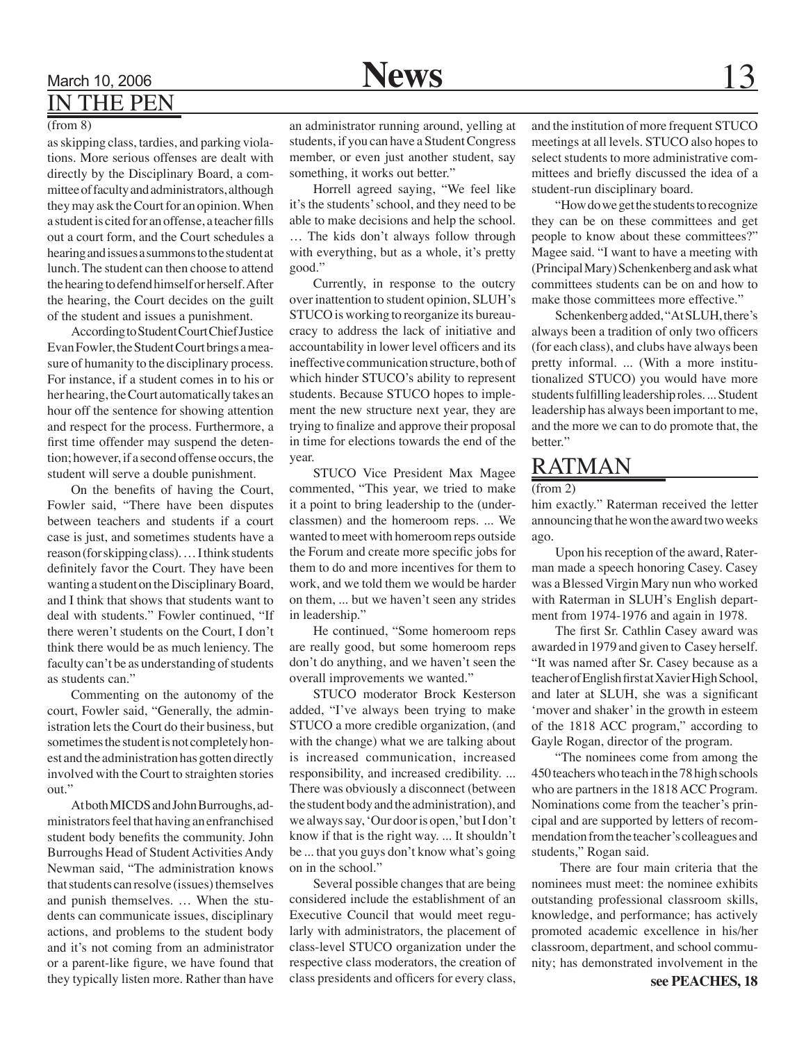### March 10, 2006 **News** 13 IN THE PEN

#### (from 8)

as skipping class, tardies, and parking violations. More serious offenses are dealt with directly by the Disciplinary Board, a committee of faculty and administrators, although they may ask the Court for an opinion. When a student is cited for an offense, a teacher fills out a court form, and the Court schedules a hearing and issues a summons to the student at lunch. The student can then choose to attend the hearing to defend himself or herself. After the hearing, the Court decides on the guilt of the student and issues a punishment.

According to Student Court Chief Justice Evan Fowler, the Student Court brings a measure of humanity to the disciplinary process. For instance, if a student comes in to his or her hearing, the Court automatically takes an hour off the sentence for showing attention and respect for the process. Furthermore, a first time offender may suspend the detention; however, if a second offense occurs, the student will serve a double punishment.

On the benefits of having the Court, Fowler said, "There have been disputes between teachers and students if a court case is just, and sometimes students have a reason (for skipping class). … I think students definitely favor the Court. They have been wanting a student on the Disciplinary Board, and I think that shows that students want to deal with students." Fowler continued, "If there weren't students on the Court, I don't think there would be as much leniency. The faculty can't be as understanding of students as students can."

Commenting on the autonomy of the court, Fowler said, "Generally, the administration lets the Court do their business, but sometimes the student is not completely honest and the administration has gotten directly involved with the Court to straighten stories out."

At both MICDS and John Burroughs, administrators feel that having an enfranchised student body benefits the community. John Burroughs Head of Student Activities Andy Newman said, "The administration knows that students can resolve (issues) themselves and punish themselves. … When the students can communicate issues, disciplinary actions, and problems to the student body and it's not coming from an administrator or a parent-like figure, we have found that they typically listen more. Rather than have

an administrator running around, yelling at students, if you can have a Student Congress member, or even just another student, say something, it works out better."

Horrell agreed saying, "We feel like it's the students' school, and they need to be able to make decisions and help the school. … The kids don't always follow through with everything, but as a whole, it's pretty good."

Currently, in response to the outcry over inattention to student opinion, SLUH's STUCO is working to reorganize its bureaucracy to address the lack of initiative and accountability in lower level officers and its ineffective communication structure, both of which hinder STUCO's ability to represent students. Because STUCO hopes to implement the new structure next year, they are trying to finalize and approve their proposal in time for elections towards the end of the year.

STUCO Vice President Max Magee commented, "This year, we tried to make it a point to bring leadership to the (underclassmen) and the homeroom reps. ... We wanted to meet with homeroom reps outside the Forum and create more specific jobs for them to do and more incentives for them to work, and we told them we would be harder on them, ... but we haven't seen any strides in leadership."

He continued, "Some homeroom reps are really good, but some homeroom reps don't do anything, and we haven't seen the overall improvements we wanted."

STUCO moderator Brock Kesterson added, "I've always been trying to make STUCO a more credible organization, (and with the change) what we are talking about is increased communication, increased responsibility, and increased credibility. ... There was obviously a disconnect (between the student body and the administration), and we always say, 'Our door is open,' but I don't know if that is the right way. ... It shouldn't be ... that you guys don't know what's going on in the school."

Several possible changes that are being considered include the establishment of an Executive Council that would meet regularly with administrators, the placement of class-level STUCO organization under the respective class moderators, the creation of class presidents and officers for every class,

and the institution of more frequent STUCO meetings at all levels. STUCO also hopes to select students to more administrative committees and briefly discussed the idea of a student-run disciplinary board.

"How do we get the students to recognize they can be on these committees and get people to know about these committees?" Magee said. "I want to have a meeting with (Principal Mary) Schenkenberg and ask what committees students can be on and how to make those committees more effective."

Schenkenberg added, "At SLUH, there's always been a tradition of only two officers (for each class), and clubs have always been pretty informal. ... (With a more institutionalized STUCO) you would have more students fulfilling leadership roles. ... Student leadership has always been important to me, and the more we can to do promote that, the better."

### RATMAN

#### (from 2)

him exactly." Raterman received the letter announcing that he won the award two weeks ago.

Upon his reception of the award, Raterman made a speech honoring Casey. Casey was a Blessed Virgin Mary nun who worked with Raterman in SLUH's English department from 1974-1976 and again in 1978.

 The first Sr. Cathlin Casey award was awarded in 1979 and given to Casey herself. "It was named after Sr. Casey because as a teacher of English first at Xavier High School, and later at SLUH, she was a significant 'mover and shaker' in the growth in esteem of the 1818 ACC program," according to Gayle Rogan, director of the program.

"The nominees come from among the 450 teachers who teach in the 78 high schools who are partners in the 1818 ACC Program. Nominations come from the teacher's principal and are supported by letters of recommendation from the teacher's colleagues and students," Rogan said.

 There are four main criteria that the nominees must meet: the nominee exhibits outstanding professional classroom skills, knowledge, and performance; has actively promoted academic excellence in his/her classroom, department, and school community; has demonstrated involvement in the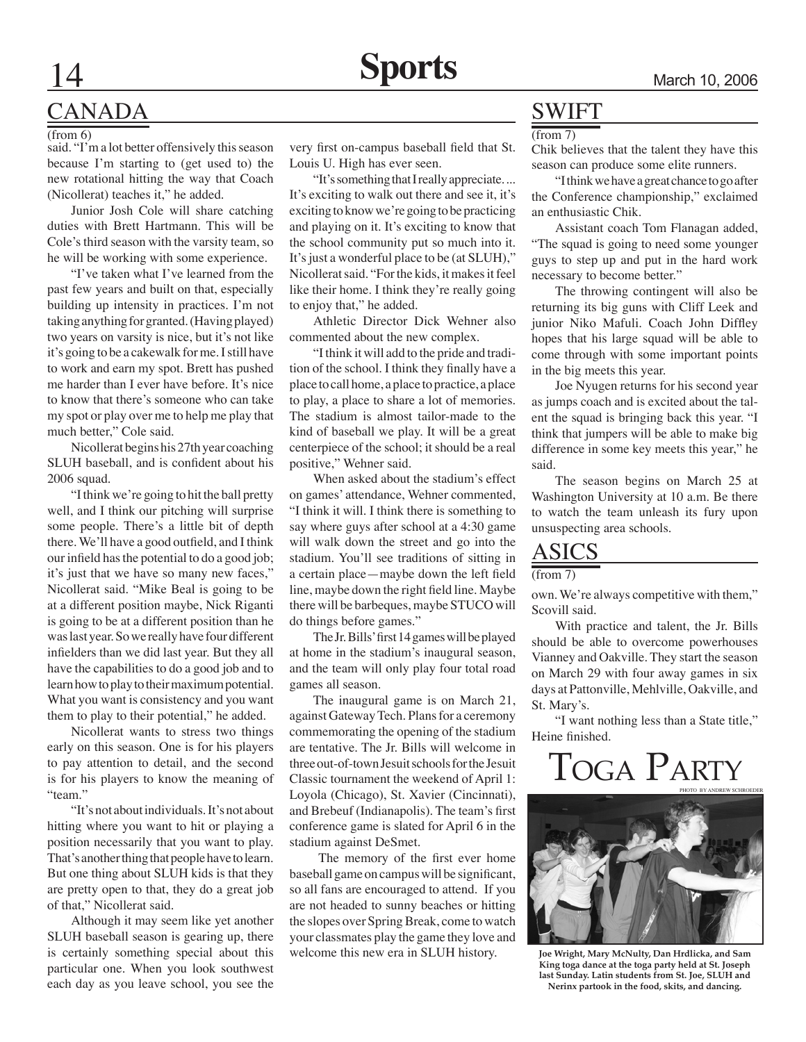### CANADA

(from 6)

said. "I'm a lot better offensively this season because I'm starting to (get used to) the new rotational hitting the way that Coach (Nicollerat) teaches it," he added.

Junior Josh Cole will share catching duties with Brett Hartmann. This will be Cole's third season with the varsity team, so he will be working with some experience.

"I've taken what I've learned from the past few years and built on that, especially building up intensity in practices. I'm not taking anything for granted. (Having played) two years on varsity is nice, but it's not like it's going to be a cakewalk for me. I still have to work and earn my spot. Brett has pushed me harder than I ever have before. It's nice to know that there's someone who can take my spot or play over me to help me play that much better," Cole said.

Nicollerat begins his 27th year coaching SLUH baseball, and is confident about his 2006 squad.

"I think we're going to hit the ball pretty well, and I think our pitching will surprise some people. There's a little bit of depth there. We'll have a good outfield, and I think our infield has the potential to do a good job; it's just that we have so many new faces," Nicollerat said. "Mike Beal is going to be at a different position maybe, Nick Riganti is going to be at a different position than he was last year. So we really have four different infielders than we did last year. But they all have the capabilities to do a good job and to learn how to play to their maximum potential. What you want is consistency and you want them to play to their potential," he added.

Nicollerat wants to stress two things early on this season. One is for his players to pay attention to detail, and the second is for his players to know the meaning of "team."

"It's not about individuals. It's not about hitting where you want to hit or playing a position necessarily that you want to play. That's another thing that people have to learn. But one thing about SLUH kids is that they are pretty open to that, they do a great job of that," Nicollerat said.

Although it may seem like yet another SLUH baseball season is gearing up, there is certainly something special about this particular one. When you look southwest each day as you leave school, you see the

very first on-campus baseball field that St. Louis U. High has ever seen.

"It's something that I really appreciate. ... It's exciting to walk out there and see it, it's exciting to know we're going to be practicing and playing on it. It's exciting to know that the school community put so much into it. It's just a wonderful place to be (at SLUH)," Nicollerat said. "For the kids, it makes it feel like their home. I think they're really going to enjoy that," he added.

Athletic Director Dick Wehner also commented about the new complex.

"I think it will add to the pride and tradition of the school. I think they finally have a place to call home, a place to practice, a place to play, a place to share a lot of memories. The stadium is almost tailor-made to the kind of baseball we play. It will be a great centerpiece of the school; it should be a real positive," Wehner said.

When asked about the stadium's effect on games' attendance, Wehner commented, "I think it will. I think there is something to say where guys after school at a 4:30 game will walk down the street and go into the stadium. You'll see traditions of sitting in a certain place—maybe down the left field line, maybe down the right field line. Maybe there will be barbeques, maybe STUCO will do things before games."

 The Jr. Bills' first 14 games will be played at home in the stadium's inaugural season, and the team will only play four total road games all season.

The inaugural game is on March 21, against Gateway Tech. Plans for a ceremony commemorating the opening of the stadium are tentative. The Jr. Bills will welcome in three out-of-town Jesuit schools for the Jesuit Classic tournament the weekend of April 1: Loyola (Chicago), St. Xavier (Cincinnati), and Brebeuf (Indianapolis). The team's first conference game is slated for April 6 in the stadium against DeSmet.

The memory of the first ever home baseball game on campus will be significant, so all fans are encouraged to attend. If you are not headed to sunny beaches or hitting the slopes over Spring Break, come to watch your classmates play the game they love and welcome this new era in SLUH history.

### SWIFT

 $(from 7)$ 

Chik believes that the talent they have this season can produce some elite runners.

"I think we have a great chance to go after the Conference championship," exclaimed an enthusiastic Chik.

Assistant coach Tom Flanagan added, "The squad is going to need some younger guys to step up and put in the hard work necessary to become better."

The throwing contingent will also be returning its big guns with Cliff Leek and junior Niko Mafuli. Coach John Diffley hopes that his large squad will be able to come through with some important points in the big meets this year.

Joe Nyugen returns for his second year as jumps coach and is excited about the talent the squad is bringing back this year. "I think that jumpers will be able to make big difference in some key meets this year," he said.

The season begins on March 25 at Washington University at 10 a.m. Be there to watch the team unleash its fury upon unsuspecting area schools.

### ASICS

(from 7)

own. We're always competitive with them," Scovill said.

With practice and talent, the Jr. Bills should be able to overcome powerhouses Vianney and Oakville. They start the season on March 29 with four away games in six days at Pattonville, Mehlville, Oakville, and St. Mary's.

"I want nothing less than a State title," Heine finished.

## Toga Party



**Joe Wright, Mary McNulty, Dan Hrdlicka, and Sam King toga dance at the toga party held at St. Joseph last Sunday. Latin students from St. Joe, SLUH and Nerinx partook in the food, skits, and dancing.**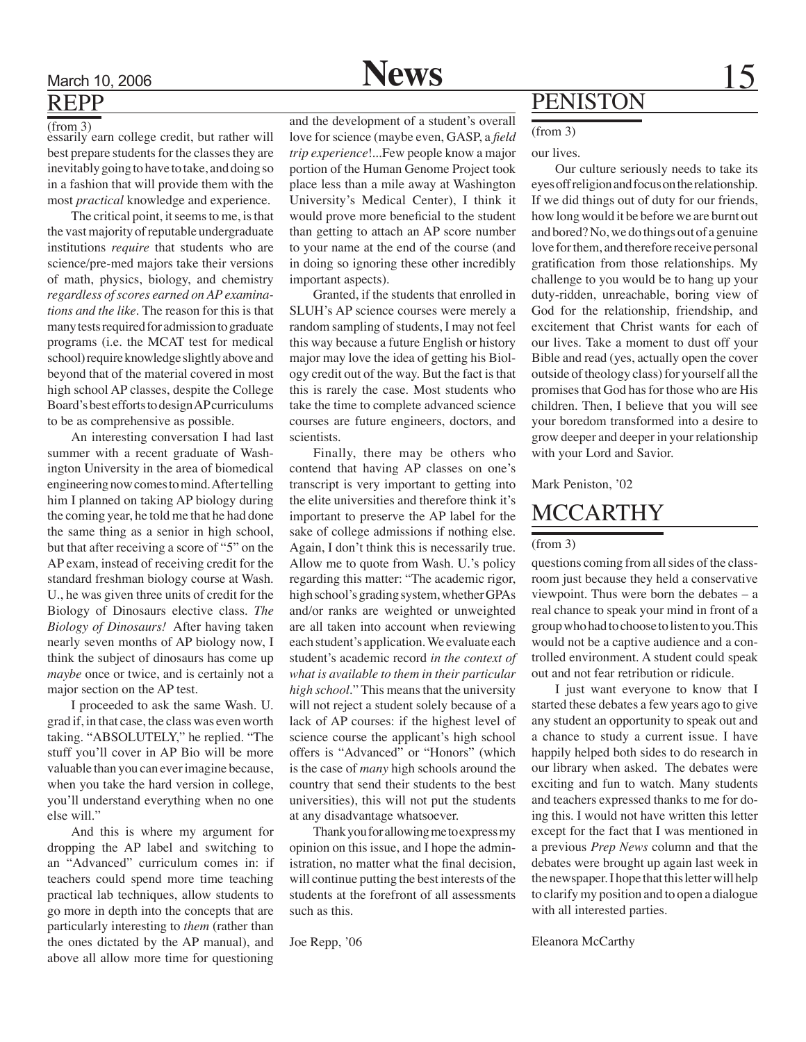### March 10, 2006 **15** News 15 REPP

 $(from<sub>2</sub>)$ essarily earn college credit, but rather will best prepare students for the classes they are inevitably going to have to take, and doing so in a fashion that will provide them with the most *practical* knowledge and experience.

The critical point, it seems to me, is that the vast majority of reputable undergraduate institutions *require* that students who are science/pre-med majors take their versions of math, physics, biology, and chemistry *regardless of scores earned on AP examinations and the like.* The reason for this is that many tests required for admission to graduate programs (i.e. the MCAT test for medical school) require knowledge slightly above and beyond that of the material covered in most high school AP classes, despite the College Board's best efforts to design AP curriculums to be as comprehensive as possible.

An interesting conversation I had last summer with a recent graduate of Washington University in the area of biomedical engineering now comes to mind. After telling him I planned on taking AP biology during the coming year, he told me that he had done the same thing as a senior in high school, but that after receiving a score of "5" on the AP exam, instead of receiving credit for the standard freshman biology course at Wash. U., he was given three units of credit for the Biology of Dinosaurs elective class. *The Biology of Dinosaurs!* After having taken nearly seven months of AP biology now, I think the subject of dinosaurs has come up *maybe* once or twice, and is certainly not a major section on the AP test.

I proceeded to ask the same Wash. U. grad if, in that case, the class was even worth taking. "ABSOLUTELY," he replied. "The stuff you'll cover in AP Bio will be more valuable than you can ever imagine because, when you take the hard version in college, you'll understand everything when no one else will."

And this is where my argument for dropping the AP label and switching to an "Advanced" curriculum comes in: if teachers could spend more time teaching practical lab techniques, allow students to go more in depth into the concepts that are particularly interesting to *them* (rather than the ones dictated by the AP manual), and above all allow more time for questioning

and the development of a student's overall love for science (maybe even, GASP, a *field trip experience*!...Few people know a major portion of the Human Genome Project took place less than a mile away at Washington University's Medical Center), I think it would prove more beneficial to the student than getting to attach an AP score number to your name at the end of the course (and in doing so ignoring these other incredibly important aspects).

Granted, if the students that enrolled in SLUH's AP science courses were merely a random sampling of students, I may not feel this way because a future English or history major may love the idea of getting his Biology credit out of the way. But the fact is that this is rarely the case. Most students who take the time to complete advanced science courses are future engineers, doctors, and scientists.

Finally, there may be others who contend that having AP classes on one's transcript is very important to getting into the elite universities and therefore think it's important to preserve the AP label for the sake of college admissions if nothing else. Again, I don't think this is necessarily true. Allow me to quote from Wash. U.'s policy regarding this matter: "The academic rigor, high school's grading system, whether GPAs and/or ranks are weighted or unweighted are all taken into account when reviewing each student's application. We evaluate each student's academic record *in the context of what is available to them in their particular high school.*" This means that the university will not reject a student solely because of a lack of AP courses: if the highest level of science course the applicant's high school offers is "Advanced" or "Honors" (which is the case of *many* high schools around the country that send their students to the best universities), this will not put the students at any disadvantage whatsoever.

Thank you for allowing me to express my opinion on this issue, and I hope the administration, no matter what the final decision, will continue putting the best interests of the students at the forefront of all assessments such as this.

Joe Repp, '06

### PENISTON

#### (from 3)

our lives.

Our culture seriously needs to take its eyes off religion and focus on the relationship. If we did things out of duty for our friends, how long would it be before we are burnt out and bored? No, we do things out of a genuine love for them, and therefore receive personal gratification from those relationships. My challenge to you would be to hang up your duty-ridden, unreachable, boring view of God for the relationship, friendship, and excitement that Christ wants for each of our lives. Take a moment to dust off your Bible and read (yes, actually open the cover outside of theology class) for yourself all the promises that God has for those who are His children. Then, I believe that you will see your boredom transformed into a desire to grow deeper and deeper in your relationship with your Lord and Savior.

#### Mark Peniston, '02

### **MCCARTHY**

### (from 3)

questions coming from all sides of the classroom just because they held a conservative viewpoint. Thus were born the debates – a real chance to speak your mind in front of a group who had to choose to listen to you.This would not be a captive audience and a controlled environment. A student could speak out and not fear retribution or ridicule.

I just want everyone to know that I started these debates a few years ago to give any student an opportunity to speak out and a chance to study a current issue. I have happily helped both sides to do research in our library when asked. The debates were exciting and fun to watch. Many students and teachers expressed thanks to me for doing this. I would not have written this letter except for the fact that I was mentioned in a previous *Prep News* column and that the debates were brought up again last week in the newspaper. I hope that this letter will help to clarify my position and to open a dialogue with all interested parties.

Eleanora McCarthy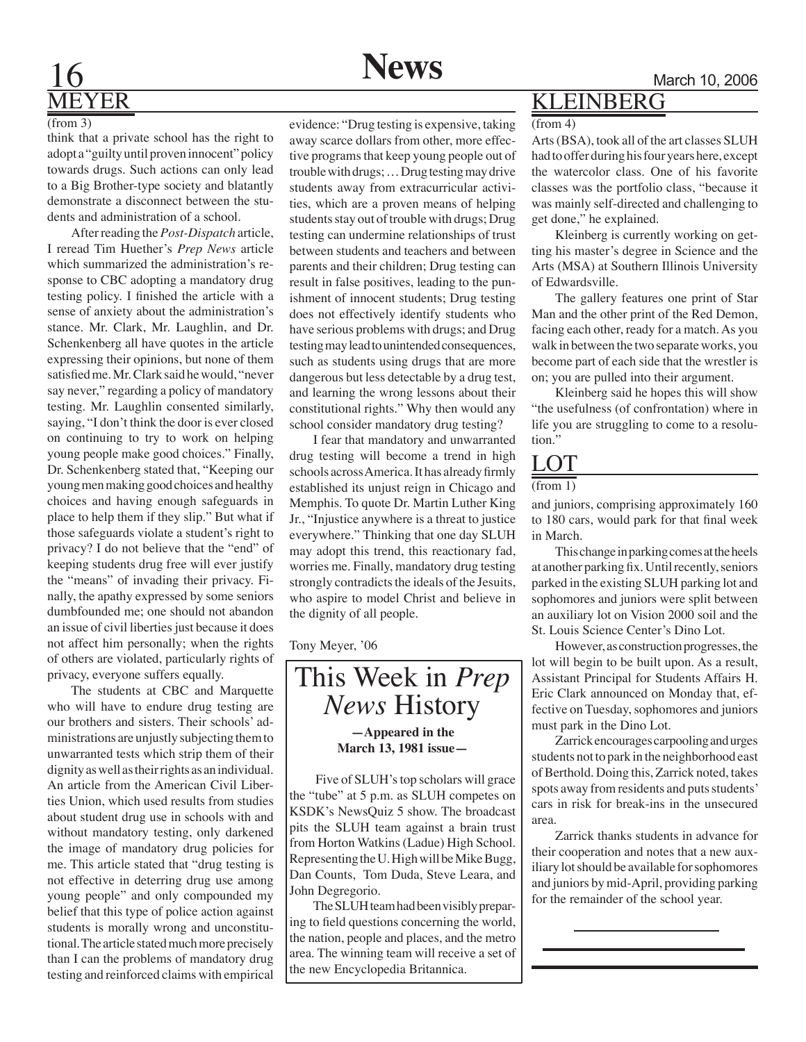# MEYER

#### (from 3)

think that a private school has the right to adopt a "guilty until proven innocent" policy towards drugs. Such actions can only lead to a Big Brother-type society and blatantly demonstrate a disconnect between the students and administration of a school.

After reading the *Post-Dispatch* article, I reread Tim Huether's *Prep News* article which summarized the administration's response to CBC adopting a mandatory drug testing policy. I finished the article with a sense of anxiety about the administration's stance. Mr. Clark, Mr. Laughlin, and Dr. Schenkenberg all have quotes in the article expressing their opinions, but none of them satisfied me. Mr. Clark said he would, "never say never," regarding a policy of mandatory testing. Mr. Laughlin consented similarly, saying, "I don't think the door is ever closed on continuing to try to work on helping young people make good choices." Finally, Dr. Schenkenberg stated that, "Keeping our young men making good choices and healthy choices and having enough safeguards in place to help them if they slip." But what if those safeguards violate a student's right to privacy? I do not believe that the "end" of keeping students drug free will ever justify the "means" of invading their privacy. Finally, the apathy expressed by some seniors dumbfounded me; one should not abandon an issue of civil liberties just because it does not affect him personally; when the rights of others are violated, particularly rights of privacy, everyone suffers equally.

The students at CBC and Marquette who will have to endure drug testing are our brothers and sisters. Their schools' administrations are unjustly subjecting them to unwarranted tests which strip them of their dignity as well as their rights as an individual. An article from the American Civil Liberties Union, which used results from studies about student drug use in schools with and without mandatory testing, only darkened the image of mandatory drug policies for me. This article stated that "drug testing is not effective in deterring drug use among young people" and only compounded my belief that this type of police action against students is morally wrong and unconstitutional. The article stated much more precisely than I can the problems of mandatory drug testing and reinforced claims with empirical



evidence: "Drug testing is expensive, taking away scarce dollars from other, more effective programs that keep young people out of trouble with drugs; … Drug testing may drive students away from extracurricular activities, which are a proven means of helping students stay out of trouble with drugs; Drug testing can undermine relationships of trust between students and teachers and between parents and their children; Drug testing can result in false positives, leading to the punishment of innocent students; Drug testing does not effectively identify students who have serious problems with drugs; and Drug testing may lead to unintended consequences, such as students using drugs that are more dangerous but less detectable by a drug test, and learning the wrong lessons about their constitutional rights." Why then would any school consider mandatory drug testing?

I fear that mandatory and unwarranted drug testing will become a trend in high schools across America. It has already firmly established its unjust reign in Chicago and Memphis. To quote Dr. Martin Luther King Jr., "Injustice anywhere is a threat to justice everywhere." Thinking that one day SLUH may adopt this trend, this reactionary fad, worries me. Finally, mandatory drug testing strongly contradicts the ideals of the Jesuits, who aspire to model Christ and believe in the dignity of all people.

Tony Meyer, '06



 Five of SLUH's top scholars will grace the "tube" at 5 p.m. as SLUH competes on KSDK's NewsQuiz 5 show. The broadcast pits the SLUH team against a brain trust from Horton Watkins (Ladue) High School. Representing the U. High will be Mike Bugg, Dan Counts, Tom Duda, Steve Leara, and John Degregorio.

The SLUH team had been visibly preparing to field questions concerning the world, the nation, people and places, and the metro area. The winning team will receive a set of the new Encyclopedia Britannica.

### KLEINBERG

#### (from 4)

Arts (BSA), took all of the art classes SLUH had to offer during his four years here, except the watercolor class. One of his favorite classes was the portfolio class, "because it was mainly self-directed and challenging to get done," he explained.

Kleinberg is currently working on getting his master's degree in Science and the Arts (MSA) at Southern Illinois University of Edwardsville.

The gallery features one print of Star Man and the other print of the Red Demon, facing each other, ready for a match. As you walk in between the two separate works, you become part of each side that the wrestler is on; you are pulled into their argument.

Kleinberg said he hopes this will show "the usefulness (of confrontation) where in life you are struggling to come to a resolution."

### **LOT**

#### $(from 1)$

and juniors, comprising approximately 160 to 180 cars, would park for that final week in March.

This change in parking comes at the heels at another parking fix. Until recently, seniors parked in the existing SLUH parking lot and sophomores and juniors were split between an auxiliary lot on Vision 2000 soil and the St. Louis Science Center's Dino Lot.

However, as construction progresses, the lot will begin to be built upon. As a result, Assistant Principal for Students Affairs H. Eric Clark announced on Monday that, effective on Tuesday, sophomores and juniors must park in the Dino Lot.

Zarrick encourages carpooling and urges students not to park in the neighborhood east of Berthold. Doing this, Zarrick noted, takes spots away from residents and puts students' cars in risk for break-ins in the unsecured area.

Zarrick thanks students in advance for their cooperation and notes that a new auxiliary lot should be available for sophomores and juniors by mid-April, providing parking for the remainder of the school year.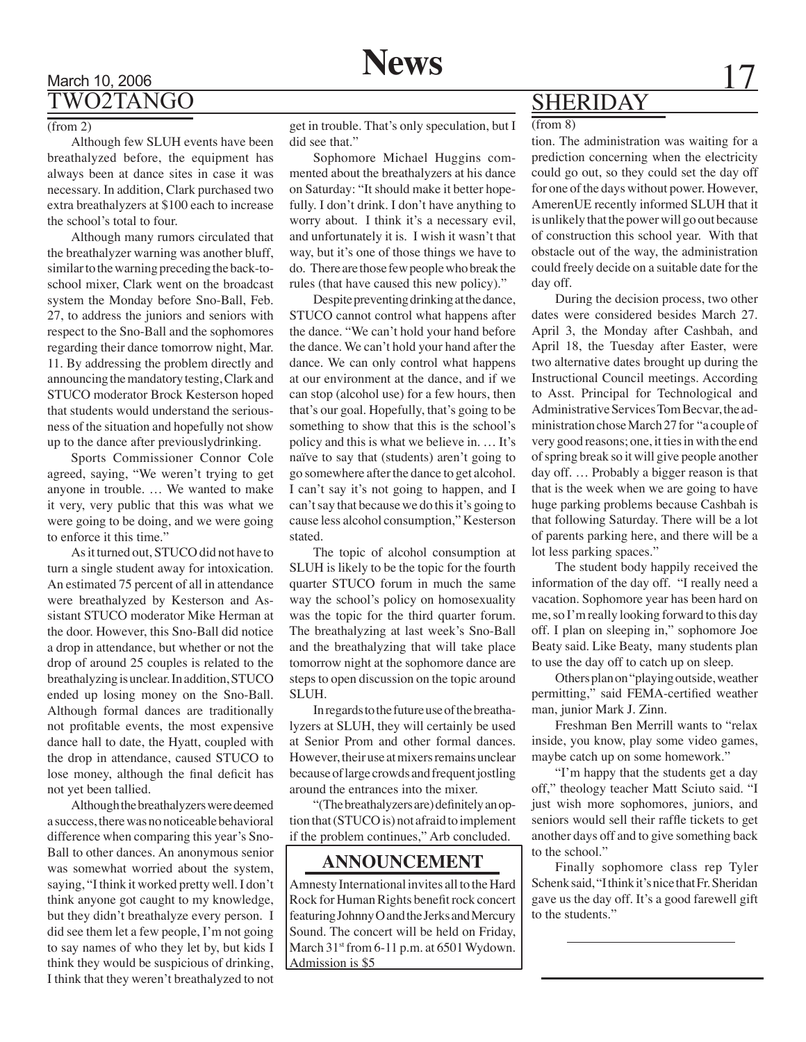### March 10, 2006 **News** 17 TWO2TANGO

### $(from 2)$

Although few SLUH events have been breathalyzed before, the equipment has always been at dance sites in case it was necessary. In addition, Clark purchased two extra breathalyzers at \$100 each to increase the school's total to four.

Although many rumors circulated that the breathalyzer warning was another bluff, similar to the warning preceding the back-toschool mixer, Clark went on the broadcast system the Monday before Sno-Ball, Feb. 27, to address the juniors and seniors with respect to the Sno-Ball and the sophomores regarding their dance tomorrow night, Mar. 11. By addressing the problem directly and announcing the mandatory testing, Clark and STUCO moderator Brock Kesterson hoped that students would understand the seriousness of the situation and hopefully not show up to the dance after previouslydrinking.

Sports Commissioner Connor Cole agreed, saying, "We weren't trying to get anyone in trouble. … We wanted to make it very, very public that this was what we were going to be doing, and we were going to enforce it this time."

As it turned out, STUCO did not have to turn a single student away for intoxication. An estimated 75 percent of all in attendance were breathalyzed by Kesterson and Assistant STUCO moderator Mike Herman at the door. However, this Sno-Ball did notice a drop in attendance, but whether or not the drop of around 25 couples is related to the breathalyzing is unclear. In addition, STUCO ended up losing money on the Sno-Ball. Although formal dances are traditionally not profitable events, the most expensive dance hall to date, the Hyatt, coupled with the drop in attendance, caused STUCO to lose money, although the final deficit has not yet been tallied.

Although the breathalyzers were deemed a success, there was no noticeable behavioral difference when comparing this year's Sno-Ball to other dances. An anonymous senior was somewhat worried about the system, saying, "I think it worked pretty well. I don't think anyone got caught to my knowledge, but they didn't breathalyze every person. I did see them let a few people, I'm not going to say names of who they let by, but kids I think they would be suspicious of drinking, I think that they weren't breathalyzed to not

get in trouble. That's only speculation, but I did see that."

Sophomore Michael Huggins commented about the breathalyzers at his dance on Saturday: "It should make it better hopefully. I don't drink. I don't have anything to worry about. I think it's a necessary evil, and unfortunately it is. I wish it wasn't that way, but it's one of those things we have to do. There are those few people who break the rules (that have caused this new policy)."

Despite preventing drinking at the dance, STUCO cannot control what happens after the dance. "We can't hold your hand before the dance. We can't hold your hand after the dance. We can only control what happens at our environment at the dance, and if we can stop (alcohol use) for a few hours, then that's our goal. Hopefully, that's going to be something to show that this is the school's policy and this is what we believe in. … It's naïve to say that (students) aren't going to go somewhere after the dance to get alcohol. I can't say it's not going to happen, and I can't say that because we do this it's going to cause less alcohol consumption," Kesterson stated.

The topic of alcohol consumption at SLUH is likely to be the topic for the fourth quarter STUCO forum in much the same way the school's policy on homosexuality was the topic for the third quarter forum. The breathalyzing at last week's Sno-Ball and the breathalyzing that will take place tomorrow night at the sophomore dance are steps to open discussion on the topic around SLUH.

In regards to the future use of the breathalyzers at SLUH, they will certainly be used at Senior Prom and other formal dances. However, their use at mixers remains unclear because of large crowds and frequent jostling around the entrances into the mixer.

"(The breathalyzers are) definitely an option that (STUCO is) not afraid to implement if the problem continues," Arb concluded.

### **ANNOUNCEMENT**

Amnesty International invites all to the Hard Rock for Human Rights benefit rock concert featuring Johnny O and the Jerks and Mercury Sound. The concert will be held on Friday, March 31<sup>st</sup> from 6-11 p.m. at 6501 Wydown. Admission is \$5

### SHERIDAY

#### (from 8)

tion. The administration was waiting for a prediction concerning when the electricity could go out, so they could set the day off for one of the days without power. However, AmerenUE recently informed SLUH that it is unlikely that the power will go out because of construction this school year. With that obstacle out of the way, the administration could freely decide on a suitable date for the day off.

During the decision process, two other dates were considered besides March 27. April 3, the Monday after Cashbah, and April 18, the Tuesday after Easter, were two alternative dates brought up during the Instructional Council meetings. According to Asst. Principal for Technological and Administrative Services Tom Becvar, the administration chose March 27 for "a couple of very good reasons; one, it ties in with the end of spring break so it will give people another day off. … Probably a bigger reason is that that is the week when we are going to have huge parking problems because Cashbah is that following Saturday. There will be a lot of parents parking here, and there will be a lot less parking spaces."

The student body happily received the information of the day off. "I really need a vacation. Sophomore year has been hard on me, so I'm really looking forward to this day off. I plan on sleeping in," sophomore Joe Beaty said. Like Beaty, many students plan to use the day off to catch up on sleep.

Others plan on "playing outside, weather permitting," said FEMA-certified weather man, junior Mark J. Zinn.

Freshman Ben Merrill wants to "relax inside, you know, play some video games, maybe catch up on some homework."

"I'm happy that the students get a day off," theology teacher Matt Sciuto said. "I just wish more sophomores, juniors, and seniors would sell their raffle tickets to get another days off and to give something back to the school."

Finally sophomore class rep Tyler Schenk said, "I think it's nice that Fr. Sheridan gave us the day off. It's a good farewell gift to the students."